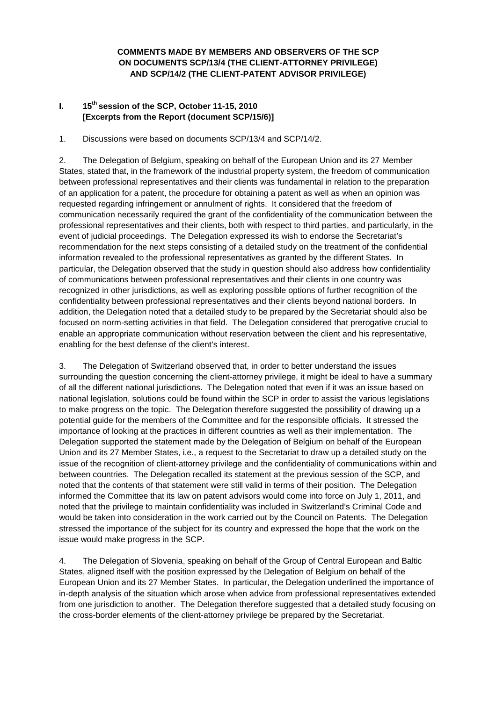# **COMMENTS MADE BY MEMBERS AND OBSERVERS OF THE SCP ON DOCUMENTS SCP/13/4 (THE CLIENT-ATTORNEY PRIVILEGE) AND SCP/14/2 (THE CLIENT-PATENT ADVISOR PRIVILEGE)**

# **I. 15th session of the SCP, October 11-15, 2010 [Excerpts from the Report (document SCP/15/6)]**

1. Discussions were based on documents SCP/13/4 and SCP/14/2.

2. The Delegation of Belgium, speaking on behalf of the European Union and its 27 Member States, stated that, in the framework of the industrial property system, the freedom of communication between professional representatives and their clients was fundamental in relation to the preparation of an application for a patent, the procedure for obtaining a patent as well as when an opinion was requested regarding infringement or annulment of rights. It considered that the freedom of communication necessarily required the grant of the confidentiality of the communication between the professional representatives and their clients, both with respect to third parties, and particularly, in the event of judicial proceedings. The Delegation expressed its wish to endorse the Secretariat's recommendation for the next steps consisting of a detailed study on the treatment of the confidential information revealed to the professional representatives as granted by the different States. In particular, the Delegation observed that the study in question should also address how confidentiality of communications between professional representatives and their clients in one country was recognized in other jurisdictions, as well as exploring possible options of further recognition of the confidentiality between professional representatives and their clients beyond national borders. In addition, the Delegation noted that a detailed study to be prepared by the Secretariat should also be focused on norm-setting activities in that field. The Delegation considered that prerogative crucial to enable an appropriate communication without reservation between the client and his representative, enabling for the best defense of the client's interest.

3. The Delegation of Switzerland observed that, in order to better understand the issues surrounding the question concerning the client-attorney privilege, it might be ideal to have a summary of all the different national jurisdictions. The Delegation noted that even if it was an issue based on national legislation, solutions could be found within the SCP in order to assist the various legislations to make progress on the topic. The Delegation therefore suggested the possibility of drawing up a potential guide for the members of the Committee and for the responsible officials. It stressed the importance of looking at the practices in different countries as well as their implementation. The Delegation supported the statement made by the Delegation of Belgium on behalf of the European Union and its 27 Member States, i.e., a request to the Secretariat to draw up a detailed study on the issue of the recognition of client-attorney privilege and the confidentiality of communications within and between countries. The Delegation recalled its statement at the previous session of the SCP, and noted that the contents of that statement were still valid in terms of their position. The Delegation informed the Committee that its law on patent advisors would come into force on July 1, 2011, and noted that the privilege to maintain confidentiality was included in Switzerland's Criminal Code and would be taken into consideration in the work carried out by the Council on Patents. The Delegation stressed the importance of the subject for its country and expressed the hope that the work on the issue would make progress in the SCP.

4. The Delegation of Slovenia, speaking on behalf of the Group of Central European and Baltic States, aligned itself with the position expressed by the Delegation of Belgium on behalf of the European Union and its 27 Member States. In particular, the Delegation underlined the importance of in-depth analysis of the situation which arose when advice from professional representatives extended from one jurisdiction to another. The Delegation therefore suggested that a detailed study focusing on the cross-border elements of the client-attorney privilege be prepared by the Secretariat.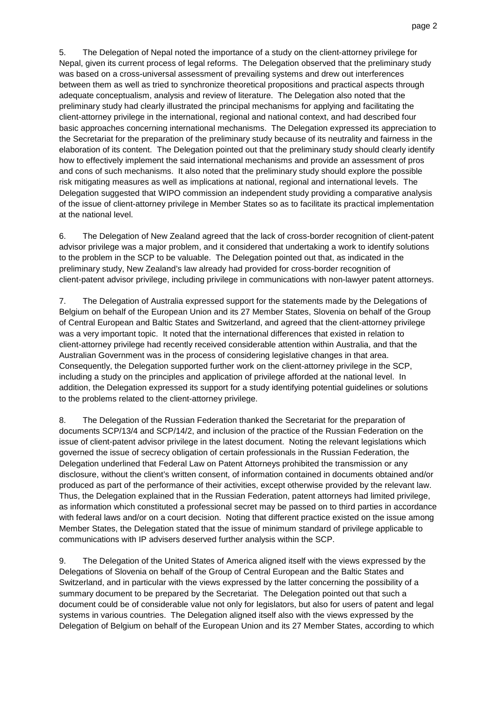5. The Delegation of Nepal noted the importance of a study on the client-attorney privilege for Nepal, given its current process of legal reforms. The Delegation observed that the preliminary study was based on a cross-universal assessment of prevailing systems and drew out interferences between them as well as tried to synchronize theoretical propositions and practical aspects through adequate conceptualism, analysis and review of literature. The Delegation also noted that the preliminary study had clearly illustrated the principal mechanisms for applying and facilitating the client-attorney privilege in the international, regional and national context, and had described four basic approaches concerning international mechanisms. The Delegation expressed its appreciation to the Secretariat for the preparation of the preliminary study because of its neutrality and fairness in the elaboration of its content. The Delegation pointed out that the preliminary study should clearly identify how to effectively implement the said international mechanisms and provide an assessment of pros and cons of such mechanisms. It also noted that the preliminary study should explore the possible risk mitigating measures as well as implications at national, regional and international levels. The Delegation suggested that WIPO commission an independent study providing a comparative analysis of the issue of client-attorney privilege in Member States so as to facilitate its practical implementation at the national level.

6. The Delegation of New Zealand agreed that the lack of cross-border recognition of client-patent advisor privilege was a major problem, and it considered that undertaking a work to identify solutions to the problem in the SCP to be valuable. The Delegation pointed out that, as indicated in the preliminary study, New Zealand's law already had provided for cross-border recognition of client-patent advisor privilege, including privilege in communications with non-lawyer patent attorneys.

7. The Delegation of Australia expressed support for the statements made by the Delegations of Belgium on behalf of the European Union and its 27 Member States, Slovenia on behalf of the Group of Central European and Baltic States and Switzerland, and agreed that the client-attorney privilege was a very important topic. It noted that the international differences that existed in relation to client-attorney privilege had recently received considerable attention within Australia, and that the Australian Government was in the process of considering legislative changes in that area. Consequently, the Delegation supported further work on the client-attorney privilege in the SCP, including a study on the principles and application of privilege afforded at the national level. In addition, the Delegation expressed its support for a study identifying potential guidelines or solutions to the problems related to the client-attorney privilege.

8. The Delegation of the Russian Federation thanked the Secretariat for the preparation of documents SCP/13/4 and SCP/14/2, and inclusion of the practice of the Russian Federation on the issue of client-patent advisor privilege in the latest document. Noting the relevant legislations which governed the issue of secrecy obligation of certain professionals in the Russian Federation, the Delegation underlined that Federal Law on Patent Attorneys prohibited the transmission or any disclosure, without the client's written consent, of information contained in documents obtained and/or produced as part of the performance of their activities, except otherwise provided by the relevant law. Thus, the Delegation explained that in the Russian Federation, patent attorneys had limited privilege, as information which constituted a professional secret may be passed on to third parties in accordance with federal laws and/or on a court decision. Noting that different practice existed on the issue among Member States, the Delegation stated that the issue of minimum standard of privilege applicable to communications with IP advisers deserved further analysis within the SCP.

9. The Delegation of the United States of America aligned itself with the views expressed by the Delegations of Slovenia on behalf of the Group of Central European and the Baltic States and Switzerland, and in particular with the views expressed by the latter concerning the possibility of a summary document to be prepared by the Secretariat. The Delegation pointed out that such a document could be of considerable value not only for legislators, but also for users of patent and legal systems in various countries. The Delegation aligned itself also with the views expressed by the Delegation of Belgium on behalf of the European Union and its 27 Member States, according to which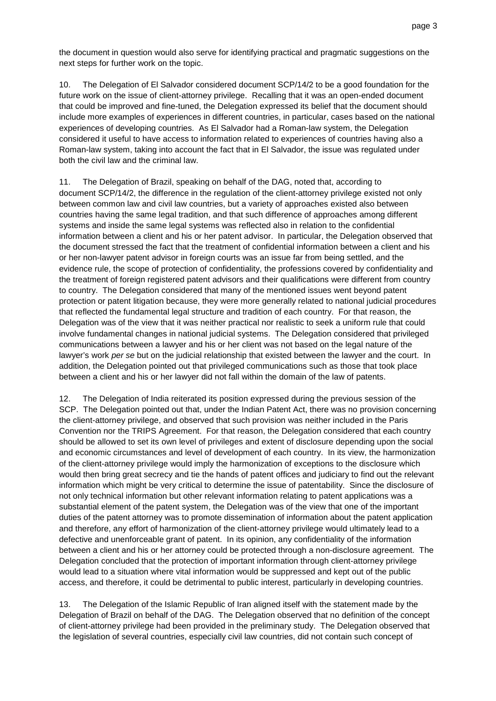the document in question would also serve for identifying practical and pragmatic suggestions on the next steps for further work on the topic.

10. The Delegation of El Salvador considered document SCP/14/2 to be a good foundation for the future work on the issue of client-attorney privilege. Recalling that it was an open-ended document that could be improved and fine-tuned, the Delegation expressed its belief that the document should include more examples of experiences in different countries, in particular, cases based on the national experiences of developing countries. As El Salvador had a Roman-law system, the Delegation considered it useful to have access to information related to experiences of countries having also a Roman-law system, taking into account the fact that in El Salvador, the issue was regulated under both the civil law and the criminal law.

11. The Delegation of Brazil, speaking on behalf of the DAG, noted that, according to document SCP/14/2, the difference in the regulation of the client-attorney privilege existed not only between common law and civil law countries, but a variety of approaches existed also between countries having the same legal tradition, and that such difference of approaches among different systems and inside the same legal systems was reflected also in relation to the confidential information between a client and his or her patent advisor. In particular, the Delegation observed that the document stressed the fact that the treatment of confidential information between a client and his or her non-lawyer patent advisor in foreign courts was an issue far from being settled, and the evidence rule, the scope of protection of confidentiality, the professions covered by confidentiality and the treatment of foreign registered patent advisors and their qualifications were different from country to country. The Delegation considered that many of the mentioned issues went beyond patent protection or patent litigation because, they were more generally related to national judicial procedures that reflected the fundamental legal structure and tradition of each country. For that reason, the Delegation was of the view that it was neither practical nor realistic to seek a uniform rule that could involve fundamental changes in national judicial systems. The Delegation considered that privileged communications between a lawyer and his or her client was not based on the legal nature of the lawyer's work per se but on the judicial relationship that existed between the lawyer and the court. In addition, the Delegation pointed out that privileged communications such as those that took place between a client and his or her lawyer did not fall within the domain of the law of patents.

12. The Delegation of India reiterated its position expressed during the previous session of the SCP. The Delegation pointed out that, under the Indian Patent Act, there was no provision concerning the client-attorney privilege, and observed that such provision was neither included in the Paris Convention nor the TRIPS Agreement. For that reason, the Delegation considered that each country should be allowed to set its own level of privileges and extent of disclosure depending upon the social and economic circumstances and level of development of each country. In its view, the harmonization of the client-attorney privilege would imply the harmonization of exceptions to the disclosure which would then bring great secrecy and tie the hands of patent offices and judiciary to find out the relevant information which might be very critical to determine the issue of patentability. Since the disclosure of not only technical information but other relevant information relating to patent applications was a substantial element of the patent system, the Delegation was of the view that one of the important duties of the patent attorney was to promote dissemination of information about the patent application and therefore, any effort of harmonization of the client-attorney privilege would ultimately lead to a defective and unenforceable grant of patent. In its opinion, any confidentiality of the information between a client and his or her attorney could be protected through a non-disclosure agreement. The Delegation concluded that the protection of important information through client-attorney privilege would lead to a situation where vital information would be suppressed and kept out of the public access, and therefore, it could be detrimental to public interest, particularly in developing countries.

13. The Delegation of the Islamic Republic of Iran aligned itself with the statement made by the Delegation of Brazil on behalf of the DAG. The Delegation observed that no definition of the concept of client-attorney privilege had been provided in the preliminary study. The Delegation observed that the legislation of several countries, especially civil law countries, did not contain such concept of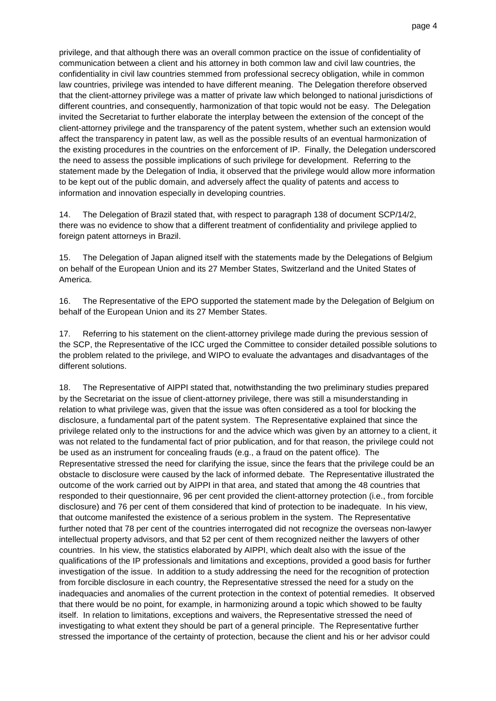privilege, and that although there was an overall common practice on the issue of confidentiality of communication between a client and his attorney in both common law and civil law countries, the confidentiality in civil law countries stemmed from professional secrecy obligation, while in common law countries, privilege was intended to have different meaning. The Delegation therefore observed that the client-attorney privilege was a matter of private law which belonged to national jurisdictions of different countries, and consequently, harmonization of that topic would not be easy. The Delegation invited the Secretariat to further elaborate the interplay between the extension of the concept of the client-attorney privilege and the transparency of the patent system, whether such an extension would affect the transparency in patent law, as well as the possible results of an eventual harmonization of the existing procedures in the countries on the enforcement of IP. Finally, the Delegation underscored the need to assess the possible implications of such privilege for development. Referring to the statement made by the Delegation of India, it observed that the privilege would allow more information to be kept out of the public domain, and adversely affect the quality of patents and access to information and innovation especially in developing countries.

14. The Delegation of Brazil stated that, with respect to paragraph 138 of document SCP/14/2, there was no evidence to show that a different treatment of confidentiality and privilege applied to foreign patent attorneys in Brazil.

15. The Delegation of Japan aligned itself with the statements made by the Delegations of Belgium on behalf of the European Union and its 27 Member States, Switzerland and the United States of America.

16. The Representative of the EPO supported the statement made by the Delegation of Belgium on behalf of the European Union and its 27 Member States.

17. Referring to his statement on the client-attorney privilege made during the previous session of the SCP, the Representative of the ICC urged the Committee to consider detailed possible solutions to the problem related to the privilege, and WIPO to evaluate the advantages and disadvantages of the different solutions.

18. The Representative of AIPPI stated that, notwithstanding the two preliminary studies prepared by the Secretariat on the issue of client-attorney privilege, there was still a misunderstanding in relation to what privilege was, given that the issue was often considered as a tool for blocking the disclosure, a fundamental part of the patent system. The Representative explained that since the privilege related only to the instructions for and the advice which was given by an attorney to a client, it was not related to the fundamental fact of prior publication, and for that reason, the privilege could not be used as an instrument for concealing frauds (e.g., a fraud on the patent office). The Representative stressed the need for clarifying the issue, since the fears that the privilege could be an obstacle to disclosure were caused by the lack of informed debate. The Representative illustrated the outcome of the work carried out by AIPPI in that area, and stated that among the 48 countries that responded to their questionnaire, 96 per cent provided the client-attorney protection (i.e., from forcible disclosure) and 76 per cent of them considered that kind of protection to be inadequate. In his view, that outcome manifested the existence of a serious problem in the system. The Representative further noted that 78 per cent of the countries interrogated did not recognize the overseas non-lawyer intellectual property advisors, and that 52 per cent of them recognized neither the lawyers of other countries. In his view, the statistics elaborated by AIPPI, which dealt also with the issue of the qualifications of the IP professionals and limitations and exceptions, provided a good basis for further investigation of the issue. In addition to a study addressing the need for the recognition of protection from forcible disclosure in each country, the Representative stressed the need for a study on the inadequacies and anomalies of the current protection in the context of potential remedies. It observed that there would be no point, for example, in harmonizing around a topic which showed to be faulty itself. In relation to limitations, exceptions and waivers, the Representative stressed the need of investigating to what extent they should be part of a general principle. The Representative further stressed the importance of the certainty of protection, because the client and his or her advisor could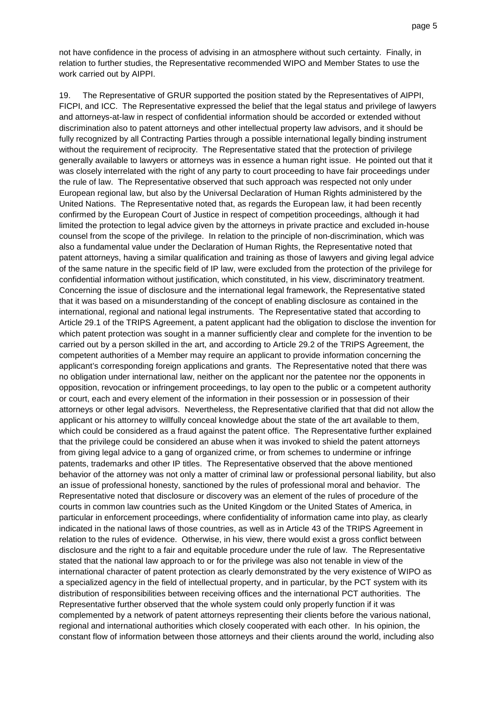not have confidence in the process of advising in an atmosphere without such certainty. Finally, in relation to further studies, the Representative recommended WIPO and Member States to use the work carried out by AIPPI.

19. The Representative of GRUR supported the position stated by the Representatives of AIPPI, FICPI, and ICC. The Representative expressed the belief that the legal status and privilege of lawyers and attorneys-at-law in respect of confidential information should be accorded or extended without discrimination also to patent attorneys and other intellectual property law advisors, and it should be fully recognized by all Contracting Parties through a possible international legally binding instrument without the requirement of reciprocity. The Representative stated that the protection of privilege generally available to lawyers or attorneys was in essence a human right issue. He pointed out that it was closely interrelated with the right of any party to court proceeding to have fair proceedings under the rule of law. The Representative observed that such approach was respected not only under European regional law, but also by the Universal Declaration of Human Rights administered by the United Nations. The Representative noted that, as regards the European law, it had been recently confirmed by the European Court of Justice in respect of competition proceedings, although it had limited the protection to legal advice given by the attorneys in private practice and excluded in-house counsel from the scope of the privilege. In relation to the principle of non-discrimination, which was also a fundamental value under the Declaration of Human Rights, the Representative noted that patent attorneys, having a similar qualification and training as those of lawyers and giving legal advice of the same nature in the specific field of IP law, were excluded from the protection of the privilege for confidential information without justification, which constituted, in his view, discriminatory treatment. Concerning the issue of disclosure and the international legal framework, the Representative stated that it was based on a misunderstanding of the concept of enabling disclosure as contained in the international, regional and national legal instruments. The Representative stated that according to Article 29.1 of the TRIPS Agreement, a patent applicant had the obligation to disclose the invention for which patent protection was sought in a manner sufficiently clear and complete for the invention to be carried out by a person skilled in the art, and according to Article 29.2 of the TRIPS Agreement, the competent authorities of a Member may require an applicant to provide information concerning the applicant's corresponding foreign applications and grants. The Representative noted that there was no obligation under international law, neither on the applicant nor the patentee nor the opponents in opposition, revocation or infringement proceedings, to lay open to the public or a competent authority or court, each and every element of the information in their possession or in possession of their attorneys or other legal advisors. Nevertheless, the Representative clarified that that did not allow the applicant or his attorney to willfully conceal knowledge about the state of the art available to them, which could be considered as a fraud against the patent office. The Representative further explained that the privilege could be considered an abuse when it was invoked to shield the patent attorneys from giving legal advice to a gang of organized crime, or from schemes to undermine or infringe patents, trademarks and other IP titles. The Representative observed that the above mentioned behavior of the attorney was not only a matter of criminal law or professional personal liability, but also an issue of professional honesty, sanctioned by the rules of professional moral and behavior. The Representative noted that disclosure or discovery was an element of the rules of procedure of the courts in common law countries such as the United Kingdom or the United States of America, in particular in enforcement proceedings, where confidentiality of information came into play, as clearly indicated in the national laws of those countries, as well as in Article 43 of the TRIPS Agreement in relation to the rules of evidence. Otherwise, in his view, there would exist a gross conflict between disclosure and the right to a fair and equitable procedure under the rule of law. The Representative stated that the national law approach to or for the privilege was also not tenable in view of the international character of patent protection as clearly demonstrated by the very existence of WIPO as a specialized agency in the field of intellectual property, and in particular, by the PCT system with its distribution of responsibilities between receiving offices and the international PCT authorities. The Representative further observed that the whole system could only properly function if it was complemented by a network of patent attorneys representing their clients before the various national, regional and international authorities which closely cooperated with each other. In his opinion, the constant flow of information between those attorneys and their clients around the world, including also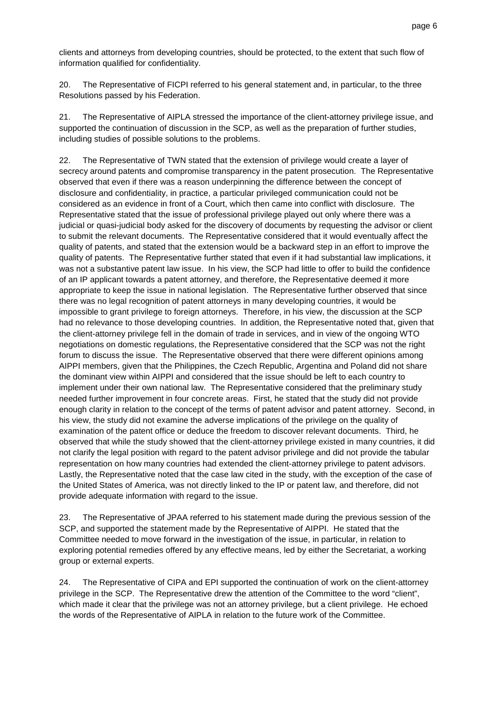clients and attorneys from developing countries, should be protected, to the extent that such flow of information qualified for confidentiality.

20. The Representative of FICPI referred to his general statement and, in particular, to the three Resolutions passed by his Federation.

21. The Representative of AIPLA stressed the importance of the client-attorney privilege issue, and supported the continuation of discussion in the SCP, as well as the preparation of further studies, including studies of possible solutions to the problems.

22. The Representative of TWN stated that the extension of privilege would create a layer of secrecy around patents and compromise transparency in the patent prosecution. The Representative observed that even if there was a reason underpinning the difference between the concept of disclosure and confidentiality, in practice, a particular privileged communication could not be considered as an evidence in front of a Court, which then came into conflict with disclosure. The Representative stated that the issue of professional privilege played out only where there was a judicial or quasi-judicial body asked for the discovery of documents by requesting the advisor or client to submit the relevant documents. The Representative considered that it would eventually affect the quality of patents, and stated that the extension would be a backward step in an effort to improve the quality of patents. The Representative further stated that even if it had substantial law implications, it was not a substantive patent law issue. In his view, the SCP had little to offer to build the confidence of an IP applicant towards a patent attorney, and therefore, the Representative deemed it more appropriate to keep the issue in national legislation. The Representative further observed that since there was no legal recognition of patent attorneys in many developing countries, it would be impossible to grant privilege to foreign attorneys. Therefore, in his view, the discussion at the SCP had no relevance to those developing countries. In addition, the Representative noted that, given that the client-attorney privilege fell in the domain of trade in services, and in view of the ongoing WTO negotiations on domestic regulations, the Representative considered that the SCP was not the right forum to discuss the issue. The Representative observed that there were different opinions among AIPPI members, given that the Philippines, the Czech Republic, Argentina and Poland did not share the dominant view within AIPPI and considered that the issue should be left to each country to implement under their own national law. The Representative considered that the preliminary study needed further improvement in four concrete areas. First, he stated that the study did not provide enough clarity in relation to the concept of the terms of patent advisor and patent attorney. Second, in his view, the study did not examine the adverse implications of the privilege on the quality of examination of the patent office or deduce the freedom to discover relevant documents. Third, he observed that while the study showed that the client-attorney privilege existed in many countries, it did not clarify the legal position with regard to the patent advisor privilege and did not provide the tabular representation on how many countries had extended the client-attorney privilege to patent advisors. Lastly, the Representative noted that the case law cited in the study, with the exception of the case of the United States of America, was not directly linked to the IP or patent law, and therefore, did not provide adequate information with regard to the issue.

23. The Representative of JPAA referred to his statement made during the previous session of the SCP, and supported the statement made by the Representative of AIPPI. He stated that the Committee needed to move forward in the investigation of the issue, in particular, in relation to exploring potential remedies offered by any effective means, led by either the Secretariat, a working group or external experts.

24. The Representative of CIPA and EPI supported the continuation of work on the client-attorney privilege in the SCP. The Representative drew the attention of the Committee to the word "client", which made it clear that the privilege was not an attorney privilege, but a client privilege. He echoed the words of the Representative of AIPLA in relation to the future work of the Committee.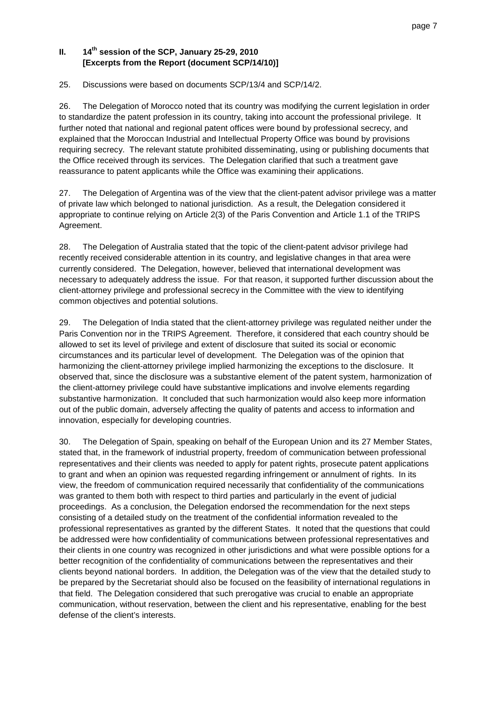# **II. 14th session of the SCP, January 25-29, 2010 [Excerpts from the Report (document SCP/14/10)]**

### 25. Discussions were based on documents SCP/13/4 and SCP/14/2.

26. The Delegation of Morocco noted that its country was modifying the current legislation in order to standardize the patent profession in its country, taking into account the professional privilege. It further noted that national and regional patent offices were bound by professional secrecy, and explained that the Moroccan Industrial and Intellectual Property Office was bound by provisions requiring secrecy. The relevant statute prohibited disseminating, using or publishing documents that the Office received through its services. The Delegation clarified that such a treatment gave reassurance to patent applicants while the Office was examining their applications.

27. The Delegation of Argentina was of the view that the client-patent advisor privilege was a matter of private law which belonged to national jurisdiction. As a result, the Delegation considered it appropriate to continue relying on Article 2(3) of the Paris Convention and Article 1.1 of the TRIPS Agreement.

28. The Delegation of Australia stated that the topic of the client-patent advisor privilege had recently received considerable attention in its country, and legislative changes in that area were currently considered. The Delegation, however, believed that international development was necessary to adequately address the issue. For that reason, it supported further discussion about the client-attorney privilege and professional secrecy in the Committee with the view to identifying common objectives and potential solutions.

29. The Delegation of India stated that the client-attorney privilege was regulated neither under the Paris Convention nor in the TRIPS Agreement. Therefore, it considered that each country should be allowed to set its level of privilege and extent of disclosure that suited its social or economic circumstances and its particular level of development. The Delegation was of the opinion that harmonizing the client-attorney privilege implied harmonizing the exceptions to the disclosure. It observed that, since the disclosure was a substantive element of the patent system, harmonization of the client-attorney privilege could have substantive implications and involve elements regarding substantive harmonization. It concluded that such harmonization would also keep more information out of the public domain, adversely affecting the quality of patents and access to information and innovation, especially for developing countries.

30. The Delegation of Spain, speaking on behalf of the European Union and its 27 Member States, stated that, in the framework of industrial property, freedom of communication between professional representatives and their clients was needed to apply for patent rights, prosecute patent applications to grant and when an opinion was requested regarding infringement or annulment of rights. In its view, the freedom of communication required necessarily that confidentiality of the communications was granted to them both with respect to third parties and particularly in the event of judicial proceedings. As a conclusion, the Delegation endorsed the recommendation for the next steps consisting of a detailed study on the treatment of the confidential information revealed to the professional representatives as granted by the different States. It noted that the questions that could be addressed were how confidentiality of communications between professional representatives and their clients in one country was recognized in other jurisdictions and what were possible options for a better recognition of the confidentiality of communications between the representatives and their clients beyond national borders. In addition, the Delegation was of the view that the detailed study to be prepared by the Secretariat should also be focused on the feasibility of international regulations in that field. The Delegation considered that such prerogative was crucial to enable an appropriate communication, without reservation, between the client and his representative, enabling for the best defense of the client's interests.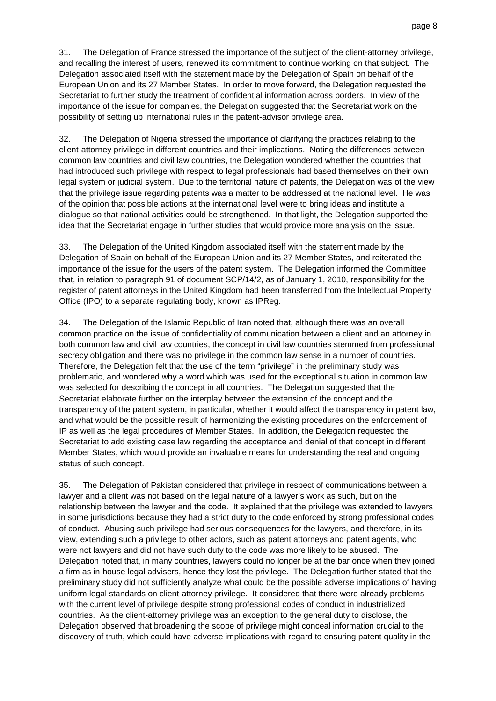31. The Delegation of France stressed the importance of the subject of the client-attorney privilege, and recalling the interest of users, renewed its commitment to continue working on that subject. The Delegation associated itself with the statement made by the Delegation of Spain on behalf of the European Union and its 27 Member States. In order to move forward, the Delegation requested the Secretariat to further study the treatment of confidential information across borders. In view of the importance of the issue for companies, the Delegation suggested that the Secretariat work on the possibility of setting up international rules in the patent-advisor privilege area.

32. The Delegation of Nigeria stressed the importance of clarifying the practices relating to the client-attorney privilege in different countries and their implications. Noting the differences between common law countries and civil law countries, the Delegation wondered whether the countries that had introduced such privilege with respect to legal professionals had based themselves on their own legal system or judicial system. Due to the territorial nature of patents, the Delegation was of the view that the privilege issue regarding patents was a matter to be addressed at the national level. He was of the opinion that possible actions at the international level were to bring ideas and institute a dialogue so that national activities could be strengthened. In that light, the Delegation supported the idea that the Secretariat engage in further studies that would provide more analysis on the issue.

33. The Delegation of the United Kingdom associated itself with the statement made by the Delegation of Spain on behalf of the European Union and its 27 Member States, and reiterated the importance of the issue for the users of the patent system. The Delegation informed the Committee that, in relation to paragraph 91 of document SCP/14/2, as of January 1, 2010, responsibility for the register of patent attorneys in the United Kingdom had been transferred from the Intellectual Property Office (IPO) to a separate regulating body, known as IPReg.

34. The Delegation of the Islamic Republic of Iran noted that, although there was an overall common practice on the issue of confidentiality of communication between a client and an attorney in both common law and civil law countries, the concept in civil law countries stemmed from professional secrecy obligation and there was no privilege in the common law sense in a number of countries. Therefore, the Delegation felt that the use of the term "privilege" in the preliminary study was problematic, and wondered why a word which was used for the exceptional situation in common law was selected for describing the concept in all countries. The Delegation suggested that the Secretariat elaborate further on the interplay between the extension of the concept and the transparency of the patent system, in particular, whether it would affect the transparency in patent law, and what would be the possible result of harmonizing the existing procedures on the enforcement of IP as well as the legal procedures of Member States. In addition, the Delegation requested the Secretariat to add existing case law regarding the acceptance and denial of that concept in different Member States, which would provide an invaluable means for understanding the real and ongoing status of such concept.

35. The Delegation of Pakistan considered that privilege in respect of communications between a lawyer and a client was not based on the legal nature of a lawyer's work as such, but on the relationship between the lawyer and the code. It explained that the privilege was extended to lawyers in some jurisdictions because they had a strict duty to the code enforced by strong professional codes of conduct. Abusing such privilege had serious consequences for the lawyers, and therefore, in its view, extending such a privilege to other actors, such as patent attorneys and patent agents, who were not lawyers and did not have such duty to the code was more likely to be abused. The Delegation noted that, in many countries, lawyers could no longer be at the bar once when they joined a firm as in-house legal advisers, hence they lost the privilege. The Delegation further stated that the preliminary study did not sufficiently analyze what could be the possible adverse implications of having uniform legal standards on client-attorney privilege. It considered that there were already problems with the current level of privilege despite strong professional codes of conduct in industrialized countries. As the client-attorney privilege was an exception to the general duty to disclose, the Delegation observed that broadening the scope of privilege might conceal information crucial to the discovery of truth, which could have adverse implications with regard to ensuring patent quality in the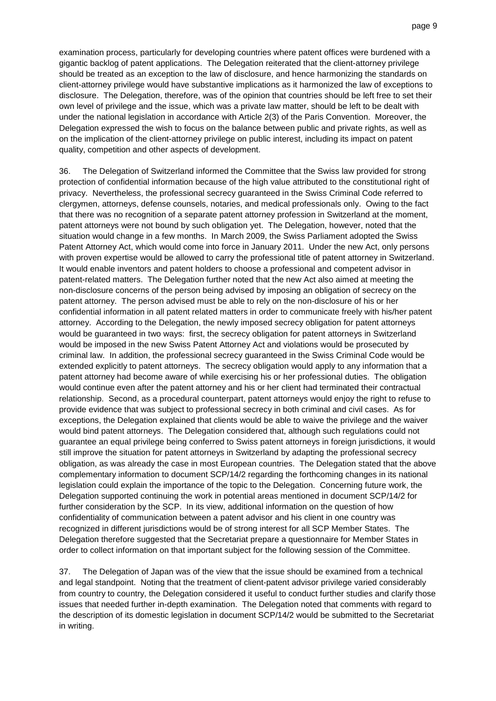examination process, particularly for developing countries where patent offices were burdened with a gigantic backlog of patent applications. The Delegation reiterated that the client-attorney privilege should be treated as an exception to the law of disclosure, and hence harmonizing the standards on client-attorney privilege would have substantive implications as it harmonized the law of exceptions to disclosure. The Delegation, therefore, was of the opinion that countries should be left free to set their own level of privilege and the issue, which was a private law matter, should be left to be dealt with under the national legislation in accordance with Article 2(3) of the Paris Convention. Moreover, the Delegation expressed the wish to focus on the balance between public and private rights, as well as on the implication of the client-attorney privilege on public interest, including its impact on patent quality, competition and other aspects of development.

36. The Delegation of Switzerland informed the Committee that the Swiss law provided for strong protection of confidential information because of the high value attributed to the constitutional right of privacy. Nevertheless, the professional secrecy guaranteed in the Swiss Criminal Code referred to clergymen, attorneys, defense counsels, notaries, and medical professionals only. Owing to the fact that there was no recognition of a separate patent attorney profession in Switzerland at the moment, patent attorneys were not bound by such obligation yet. The Delegation, however, noted that the situation would change in a few months. In March 2009, the Swiss Parliament adopted the Swiss Patent Attorney Act, which would come into force in January 2011. Under the new Act, only persons with proven expertise would be allowed to carry the professional title of patent attorney in Switzerland. It would enable inventors and patent holders to choose a professional and competent advisor in patent-related matters. The Delegation further noted that the new Act also aimed at meeting the non-disclosure concerns of the person being advised by imposing an obligation of secrecy on the patent attorney. The person advised must be able to rely on the non-disclosure of his or her confidential information in all patent related matters in order to communicate freely with his/her patent attorney. According to the Delegation, the newly imposed secrecy obligation for patent attorneys would be guaranteed in two ways: first, the secrecy obligation for patent attorneys in Switzerland would be imposed in the new Swiss Patent Attorney Act and violations would be prosecuted by criminal law. In addition, the professional secrecy guaranteed in the Swiss Criminal Code would be extended explicitly to patent attorneys. The secrecy obligation would apply to any information that a patent attorney had become aware of while exercising his or her professional duties. The obligation would continue even after the patent attorney and his or her client had terminated their contractual relationship. Second, as a procedural counterpart, patent attorneys would enjoy the right to refuse to provide evidence that was subject to professional secrecy in both criminal and civil cases. As for exceptions, the Delegation explained that clients would be able to waive the privilege and the waiver would bind patent attorneys. The Delegation considered that, although such regulations could not guarantee an equal privilege being conferred to Swiss patent attorneys in foreign jurisdictions, it would still improve the situation for patent attorneys in Switzerland by adapting the professional secrecy obligation, as was already the case in most European countries. The Delegation stated that the above complementary information to document SCP/14/2 regarding the forthcoming changes in its national legislation could explain the importance of the topic to the Delegation. Concerning future work, the Delegation supported continuing the work in potential areas mentioned in document SCP/14/2 for further consideration by the SCP. In its view, additional information on the question of how confidentiality of communication between a patent advisor and his client in one country was recognized in different jurisdictions would be of strong interest for all SCP Member States. The Delegation therefore suggested that the Secretariat prepare a questionnaire for Member States in order to collect information on that important subject for the following session of the Committee.

37. The Delegation of Japan was of the view that the issue should be examined from a technical and legal standpoint. Noting that the treatment of client-patent advisor privilege varied considerably from country to country, the Delegation considered it useful to conduct further studies and clarify those issues that needed further in-depth examination. The Delegation noted that comments with regard to the description of its domestic legislation in document SCP/14/2 would be submitted to the Secretariat in writing.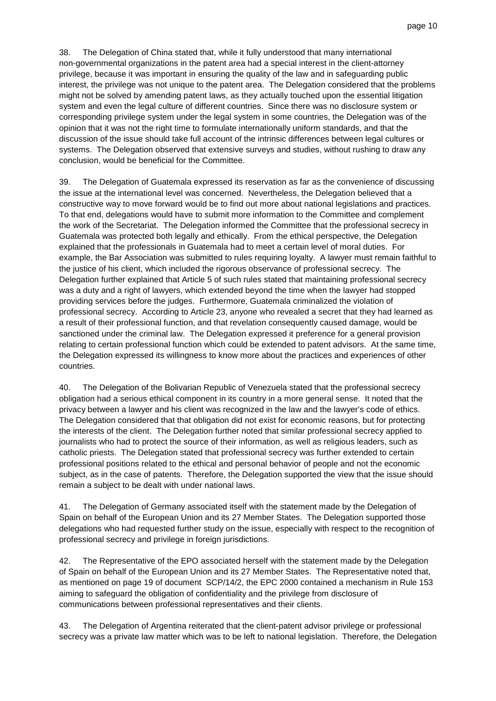38. The Delegation of China stated that, while it fully understood that many international non-governmental organizations in the patent area had a special interest in the client-attorney privilege, because it was important in ensuring the quality of the law and in safeguarding public interest, the privilege was not unique to the patent area. The Delegation considered that the problems might not be solved by amending patent laws, as they actually touched upon the essential litigation system and even the legal culture of different countries. Since there was no disclosure system or corresponding privilege system under the legal system in some countries, the Delegation was of the opinion that it was not the right time to formulate internationally uniform standards, and that the discussion of the issue should take full account of the intrinsic differences between legal cultures or systems. The Delegation observed that extensive surveys and studies, without rushing to draw any conclusion, would be beneficial for the Committee.

39. The Delegation of Guatemala expressed its reservation as far as the convenience of discussing the issue at the international level was concerned. Nevertheless, the Delegation believed that a constructive way to move forward would be to find out more about national legislations and practices. To that end, delegations would have to submit more information to the Committee and complement the work of the Secretariat. The Delegation informed the Committee that the professional secrecy in Guatemala was protected both legally and ethically. From the ethical perspective, the Delegation explained that the professionals in Guatemala had to meet a certain level of moral duties. For example, the Bar Association was submitted to rules requiring loyalty. A lawyer must remain faithful to the justice of his client, which included the rigorous observance of professional secrecy. The Delegation further explained that Article 5 of such rules stated that maintaining professional secrecy was a duty and a right of lawyers, which extended beyond the time when the lawyer had stopped providing services before the judges. Furthermore, Guatemala criminalized the violation of professional secrecy. According to Article 23, anyone who revealed a secret that they had learned as a result of their professional function, and that revelation consequently caused damage, would be sanctioned under the criminal law. The Delegation expressed it preference for a general provision relating to certain professional function which could be extended to patent advisors. At the same time, the Delegation expressed its willingness to know more about the practices and experiences of other countries.

40. The Delegation of the Bolivarian Republic of Venezuela stated that the professional secrecy obligation had a serious ethical component in its country in a more general sense. It noted that the privacy between a lawyer and his client was recognized in the law and the lawyer's code of ethics. The Delegation considered that that obligation did not exist for economic reasons, but for protecting the interests of the client. The Delegation further noted that similar professional secrecy applied to journalists who had to protect the source of their information, as well as religious leaders, such as catholic priests. The Delegation stated that professional secrecy was further extended to certain professional positions related to the ethical and personal behavior of people and not the economic subject, as in the case of patents. Therefore, the Delegation supported the view that the issue should remain a subject to be dealt with under national laws.

41. The Delegation of Germany associated itself with the statement made by the Delegation of Spain on behalf of the European Union and its 27 Member States. The Delegation supported those delegations who had requested further study on the issue, especially with respect to the recognition of professional secrecy and privilege in foreign jurisdictions.

42. The Representative of the EPO associated herself with the statement made by the Delegation of Spain on behalf of the European Union and its 27 Member States. The Representative noted that, as mentioned on page 19 of document SCP/14/2, the EPC 2000 contained a mechanism in Rule 153 aiming to safeguard the obligation of confidentiality and the privilege from disclosure of communications between professional representatives and their clients.

43. The Delegation of Argentina reiterated that the client-patent advisor privilege or professional secrecy was a private law matter which was to be left to national legislation. Therefore, the Delegation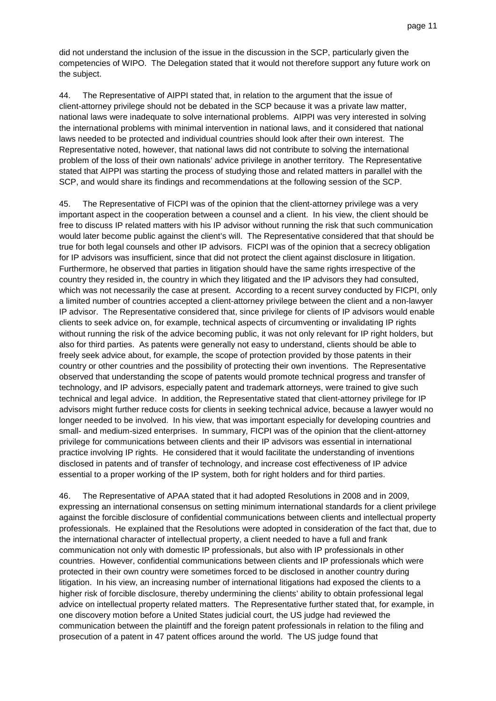did not understand the inclusion of the issue in the discussion in the SCP, particularly given the competencies of WIPO. The Delegation stated that it would not therefore support any future work on the subject.

44. The Representative of AIPPI stated that, in relation to the argument that the issue of client-attorney privilege should not be debated in the SCP because it was a private law matter, national laws were inadequate to solve international problems. AIPPI was very interested in solving the international problems with minimal intervention in national laws, and it considered that national laws needed to be protected and individual countries should look after their own interest. The Representative noted, however, that national laws did not contribute to solving the international problem of the loss of their own nationals' advice privilege in another territory. The Representative stated that AIPPI was starting the process of studying those and related matters in parallel with the SCP, and would share its findings and recommendations at the following session of the SCP.

45. The Representative of FICPI was of the opinion that the client-attorney privilege was a very important aspect in the cooperation between a counsel and a client. In his view, the client should be free to discuss IP related matters with his IP advisor without running the risk that such communication would later become public against the client's will. The Representative considered that that should be true for both legal counsels and other IP advisors. FICPI was of the opinion that a secrecy obligation for IP advisors was insufficient, since that did not protect the client against disclosure in litigation. Furthermore, he observed that parties in litigation should have the same rights irrespective of the country they resided in, the country in which they litigated and the IP advisors they had consulted, which was not necessarily the case at present. According to a recent survey conducted by FICPI, only a limited number of countries accepted a client-attorney privilege between the client and a non-lawyer IP advisor. The Representative considered that, since privilege for clients of IP advisors would enable clients to seek advice on, for example, technical aspects of circumventing or invalidating IP rights without running the risk of the advice becoming public, it was not only relevant for IP right holders, but also for third parties. As patents were generally not easy to understand, clients should be able to freely seek advice about, for example, the scope of protection provided by those patents in their country or other countries and the possibility of protecting their own inventions. The Representative observed that understanding the scope of patents would promote technical progress and transfer of technology, and IP advisors, especially patent and trademark attorneys, were trained to give such technical and legal advice. In addition, the Representative stated that client-attorney privilege for IP advisors might further reduce costs for clients in seeking technical advice, because a lawyer would no longer needed to be involved. In his view, that was important especially for developing countries and small- and medium-sized enterprises. In summary, FICPI was of the opinion that the client-attorney privilege for communications between clients and their IP advisors was essential in international practice involving IP rights. He considered that it would facilitate the understanding of inventions disclosed in patents and of transfer of technology, and increase cost effectiveness of IP advice essential to a proper working of the IP system, both for right holders and for third parties.

46. The Representative of APAA stated that it had adopted Resolutions in 2008 and in 2009, expressing an international consensus on setting minimum international standards for a client privilege against the forcible disclosure of confidential communications between clients and intellectual property professionals. He explained that the Resolutions were adopted in consideration of the fact that, due to the international character of intellectual property, a client needed to have a full and frank communication not only with domestic IP professionals, but also with IP professionals in other countries. However, confidential communications between clients and IP professionals which were protected in their own country were sometimes forced to be disclosed in another country during litigation. In his view, an increasing number of international litigations had exposed the clients to a higher risk of forcible disclosure, thereby undermining the clients' ability to obtain professional legal advice on intellectual property related matters. The Representative further stated that, for example, in one discovery motion before a United States judicial court, the US judge had reviewed the communication between the plaintiff and the foreign patent professionals in relation to the filing and prosecution of a patent in 47 patent offices around the world. The US judge found that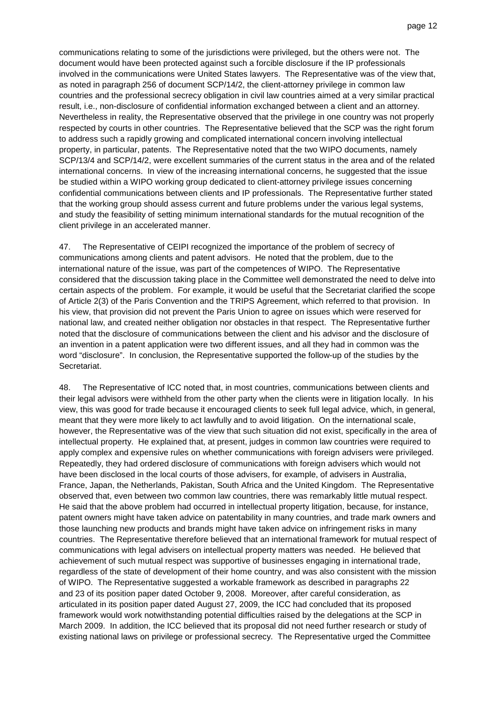communications relating to some of the jurisdictions were privileged, but the others were not. The document would have been protected against such a forcible disclosure if the IP professionals involved in the communications were United States lawyers. The Representative was of the view that, as noted in paragraph 256 of document SCP/14/2, the client-attorney privilege in common law countries and the professional secrecy obligation in civil law countries aimed at a very similar practical result, i.e., non-disclosure of confidential information exchanged between a client and an attorney. Nevertheless in reality, the Representative observed that the privilege in one country was not properly respected by courts in other countries. The Representative believed that the SCP was the right forum to address such a rapidly growing and complicated international concern involving intellectual property, in particular, patents. The Representative noted that the two WIPO documents, namely SCP/13/4 and SCP/14/2, were excellent summaries of the current status in the area and of the related international concerns. In view of the increasing international concerns, he suggested that the issue be studied within a WIPO working group dedicated to client-attorney privilege issues concerning confidential communications between clients and IP professionals. The Representative further stated that the working group should assess current and future problems under the various legal systems, and study the feasibility of setting minimum international standards for the mutual recognition of the client privilege in an accelerated manner.

47. The Representative of CEIPI recognized the importance of the problem of secrecy of communications among clients and patent advisors. He noted that the problem, due to the international nature of the issue, was part of the competences of WIPO. The Representative considered that the discussion taking place in the Committee well demonstrated the need to delve into certain aspects of the problem. For example, it would be useful that the Secretariat clarified the scope of Article 2(3) of the Paris Convention and the TRIPS Agreement, which referred to that provision. In his view, that provision did not prevent the Paris Union to agree on issues which were reserved for national law, and created neither obligation nor obstacles in that respect. The Representative further noted that the disclosure of communications between the client and his advisor and the disclosure of an invention in a patent application were two different issues, and all they had in common was the word "disclosure". In conclusion, the Representative supported the follow-up of the studies by the Secretariat.

48. The Representative of ICC noted that, in most countries, communications between clients and their legal advisors were withheld from the other party when the clients were in litigation locally. In his view, this was good for trade because it encouraged clients to seek full legal advice, which, in general, meant that they were more likely to act lawfully and to avoid litigation. On the international scale, however, the Representative was of the view that such situation did not exist, specifically in the area of intellectual property. He explained that, at present, judges in common law countries were required to apply complex and expensive rules on whether communications with foreign advisers were privileged. Repeatedly, they had ordered disclosure of communications with foreign advisers which would not have been disclosed in the local courts of those advisers, for example, of advisers in Australia, France, Japan, the Netherlands, Pakistan, South Africa and the United Kingdom. The Representative observed that, even between two common law countries, there was remarkably little mutual respect. He said that the above problem had occurred in intellectual property litigation, because, for instance, patent owners might have taken advice on patentability in many countries, and trade mark owners and those launching new products and brands might have taken advice on infringement risks in many countries. The Representative therefore believed that an international framework for mutual respect of communications with legal advisers on intellectual property matters was needed. He believed that achievement of such mutual respect was supportive of businesses engaging in international trade, regardless of the state of development of their home country, and was also consistent with the mission of WIPO. The Representative suggested a workable framework as described in paragraphs 22 and 23 of its position paper dated October 9, 2008. Moreover, after careful consideration, as articulated in its position paper dated August 27, 2009, the ICC had concluded that its proposed framework would work notwithstanding potential difficulties raised by the delegations at the SCP in March 2009. In addition, the ICC believed that its proposal did not need further research or study of existing national laws on privilege or professional secrecy. The Representative urged the Committee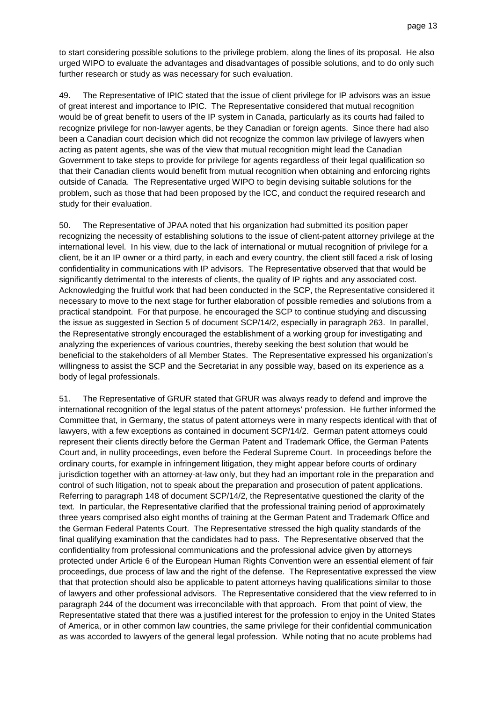to start considering possible solutions to the privilege problem, along the lines of its proposal. He also urged WIPO to evaluate the advantages and disadvantages of possible solutions, and to do only such further research or study as was necessary for such evaluation.

49. The Representative of IPIC stated that the issue of client privilege for IP advisors was an issue of great interest and importance to IPIC. The Representative considered that mutual recognition would be of great benefit to users of the IP system in Canada, particularly as its courts had failed to recognize privilege for non-lawyer agents, be they Canadian or foreign agents. Since there had also been a Canadian court decision which did not recognize the common law privilege of lawyers when acting as patent agents, she was of the view that mutual recognition might lead the Canadian Government to take steps to provide for privilege for agents regardless of their legal qualification so that their Canadian clients would benefit from mutual recognition when obtaining and enforcing rights outside of Canada. The Representative urged WIPO to begin devising suitable solutions for the problem, such as those that had been proposed by the ICC, and conduct the required research and study for their evaluation.

50. The Representative of JPAA noted that his organization had submitted its position paper recognizing the necessity of establishing solutions to the issue of client-patent attorney privilege at the international level. In his view, due to the lack of international or mutual recognition of privilege for a client, be it an IP owner or a third party, in each and every country, the client still faced a risk of losing confidentiality in communications with IP advisors. The Representative observed that that would be significantly detrimental to the interests of clients, the quality of IP rights and any associated cost. Acknowledging the fruitful work that had been conducted in the SCP, the Representative considered it necessary to move to the next stage for further elaboration of possible remedies and solutions from a practical standpoint. For that purpose, he encouraged the SCP to continue studying and discussing the issue as suggested in Section 5 of document SCP/14/2, especially in paragraph 263. In parallel, the Representative strongly encouraged the establishment of a working group for investigating and analyzing the experiences of various countries, thereby seeking the best solution that would be beneficial to the stakeholders of all Member States. The Representative expressed his organization's willingness to assist the SCP and the Secretariat in any possible way, based on its experience as a body of legal professionals.

51. The Representative of GRUR stated that GRUR was always ready to defend and improve the international recognition of the legal status of the patent attorneys' profession. He further informed the Committee that, in Germany, the status of patent attorneys were in many respects identical with that of lawyers, with a few exceptions as contained in document SCP/14/2. German patent attorneys could represent their clients directly before the German Patent and Trademark Office, the German Patents Court and, in nullity proceedings, even before the Federal Supreme Court. In proceedings before the ordinary courts, for example in infringement litigation, they might appear before courts of ordinary jurisdiction together with an attorney-at-law only, but they had an important role in the preparation and control of such litigation, not to speak about the preparation and prosecution of patent applications. Referring to paragraph 148 of document SCP/14/2, the Representative questioned the clarity of the text. In particular, the Representative clarified that the professional training period of approximately three years comprised also eight months of training at the German Patent and Trademark Office and the German Federal Patents Court. The Representative stressed the high quality standards of the final qualifying examination that the candidates had to pass. The Representative observed that the confidentiality from professional communications and the professional advice given by attorneys protected under Article 6 of the European Human Rights Convention were an essential element of fair proceedings, due process of law and the right of the defense. The Representative expressed the view that that protection should also be applicable to patent attorneys having qualifications similar to those of lawyers and other professional advisors. The Representative considered that the view referred to in paragraph 244 of the document was irreconcilable with that approach. From that point of view, the Representative stated that there was a justified interest for the profession to enjoy in the United States of America, or in other common law countries, the same privilege for their confidential communication as was accorded to lawyers of the general legal profession. While noting that no acute problems had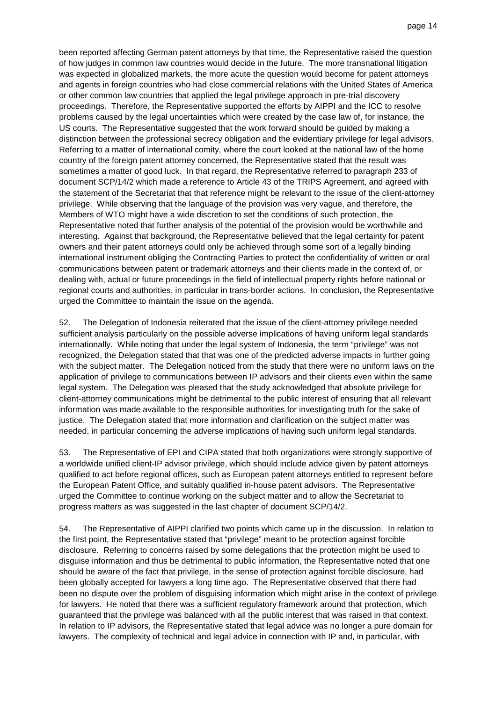been reported affecting German patent attorneys by that time, the Representative raised the question of how judges in common law countries would decide in the future. The more transnational litigation was expected in globalized markets, the more acute the question would become for patent attorneys and agents in foreign countries who had close commercial relations with the United States of America or other common law countries that applied the legal privilege approach in pre-trial discovery proceedings. Therefore, the Representative supported the efforts by AIPPI and the ICC to resolve problems caused by the legal uncertainties which were created by the case law of, for instance, the US courts. The Representative suggested that the work forward should be guided by making a distinction between the professional secrecy obligation and the evidentiary privilege for legal advisors. Referring to a matter of international comity, where the court looked at the national law of the home country of the foreign patent attorney concerned, the Representative stated that the result was sometimes a matter of good luck. In that regard, the Representative referred to paragraph 233 of document SCP/14/2 which made a reference to Article 43 of the TRIPS Agreement, and agreed with the statement of the Secretariat that that reference might be relevant to the issue of the client-attorney privilege. While observing that the language of the provision was very vague, and therefore, the Members of WTO might have a wide discretion to set the conditions of such protection, the Representative noted that further analysis of the potential of the provision would be worthwhile and interesting. Against that background, the Representative believed that the legal certainty for patent owners and their patent attorneys could only be achieved through some sort of a legally binding international instrument obliging the Contracting Parties to protect the confidentiality of written or oral communications between patent or trademark attorneys and their clients made in the context of, or dealing with, actual or future proceedings in the field of intellectual property rights before national or regional courts and authorities, in particular in trans-border actions. In conclusion, the Representative urged the Committee to maintain the issue on the agenda.

52. The Delegation of Indonesia reiterated that the issue of the client-attorney privilege needed sufficient analysis particularly on the possible adverse implications of having uniform legal standards internationally. While noting that under the legal system of Indonesia, the term "privilege" was not recognized, the Delegation stated that that was one of the predicted adverse impacts in further going with the subject matter. The Delegation noticed from the study that there were no uniform laws on the application of privilege to communications between IP advisors and their clients even within the same legal system. The Delegation was pleased that the study acknowledged that absolute privilege for client-attorney communications might be detrimental to the public interest of ensuring that all relevant information was made available to the responsible authorities for investigating truth for the sake of justice. The Delegation stated that more information and clarification on the subject matter was needed, in particular concerning the adverse implications of having such uniform legal standards.

53. The Representative of EPI and CIPA stated that both organizations were strongly supportive of a worldwide unified client-IP advisor privilege, which should include advice given by patent attorneys qualified to act before regional offices, such as European patent attorneys entitled to represent before the European Patent Office, and suitably qualified in-house patent advisors. The Representative urged the Committee to continue working on the subject matter and to allow the Secretariat to progress matters as was suggested in the last chapter of document SCP/14/2.

54. The Representative of AIPPI clarified two points which came up in the discussion. In relation to the first point, the Representative stated that "privilege" meant to be protection against forcible disclosure. Referring to concerns raised by some delegations that the protection might be used to disguise information and thus be detrimental to public information, the Representative noted that one should be aware of the fact that privilege, in the sense of protection against forcible disclosure, had been globally accepted for lawyers a long time ago. The Representative observed that there had been no dispute over the problem of disguising information which might arise in the context of privilege for lawyers. He noted that there was a sufficient regulatory framework around that protection, which guaranteed that the privilege was balanced with all the public interest that was raised in that context. In relation to IP advisors, the Representative stated that legal advice was no longer a pure domain for lawyers. The complexity of technical and legal advice in connection with IP and, in particular, with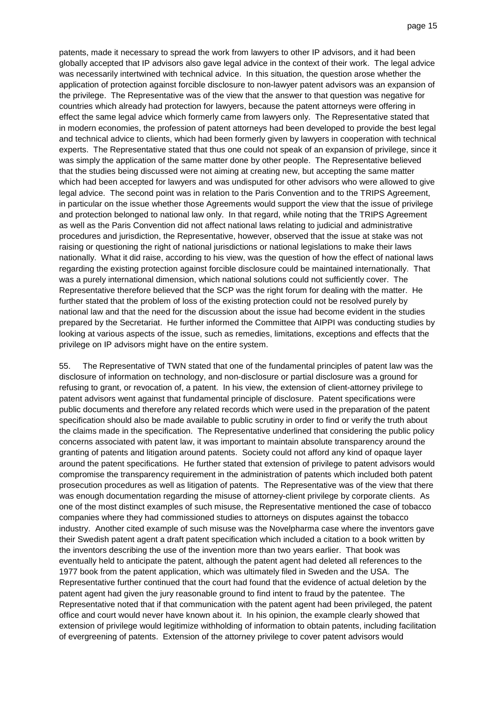patents, made it necessary to spread the work from lawyers to other IP advisors, and it had been globally accepted that IP advisors also gave legal advice in the context of their work. The legal advice was necessarily intertwined with technical advice. In this situation, the question arose whether the application of protection against forcible disclosure to non-lawyer patent advisors was an expansion of the privilege. The Representative was of the view that the answer to that question was negative for countries which already had protection for lawyers, because the patent attorneys were offering in effect the same legal advice which formerly came from lawyers only. The Representative stated that in modern economies, the profession of patent attorneys had been developed to provide the best legal and technical advice to clients, which had been formerly given by lawyers in cooperation with technical experts. The Representative stated that thus one could not speak of an expansion of privilege, since it was simply the application of the same matter done by other people. The Representative believed that the studies being discussed were not aiming at creating new, but accepting the same matter which had been accepted for lawyers and was undisputed for other advisors who were allowed to give legal advice. The second point was in relation to the Paris Convention and to the TRIPS Agreement, in particular on the issue whether those Agreements would support the view that the issue of privilege and protection belonged to national law only. In that regard, while noting that the TRIPS Agreement as well as the Paris Convention did not affect national laws relating to judicial and administrative procedures and jurisdiction, the Representative, however, observed that the issue at stake was not raising or questioning the right of national jurisdictions or national legislations to make their laws nationally. What it did raise, according to his view, was the question of how the effect of national laws regarding the existing protection against forcible disclosure could be maintained internationally. That was a purely international dimension, which national solutions could not sufficiently cover. The Representative therefore believed that the SCP was the right forum for dealing with the matter. He further stated that the problem of loss of the existing protection could not be resolved purely by national law and that the need for the discussion about the issue had become evident in the studies prepared by the Secretariat. He further informed the Committee that AIPPI was conducting studies by looking at various aspects of the issue, such as remedies, limitations, exceptions and effects that the privilege on IP advisors might have on the entire system.

55. The Representative of TWN stated that one of the fundamental principles of patent law was the disclosure of information on technology, and non-disclosure or partial disclosure was a ground for refusing to grant, or revocation of, a patent. In his view, the extension of client-attorney privilege to patent advisors went against that fundamental principle of disclosure. Patent specifications were public documents and therefore any related records which were used in the preparation of the patent specification should also be made available to public scrutiny in order to find or verify the truth about the claims made in the specification. The Representative underlined that considering the public policy concerns associated with patent law, it was important to maintain absolute transparency around the granting of patents and litigation around patents. Society could not afford any kind of opaque layer around the patent specifications. He further stated that extension of privilege to patent advisors would compromise the transparency requirement in the administration of patents which included both patent prosecution procedures as well as litigation of patents. The Representative was of the view that there was enough documentation regarding the misuse of attorney-client privilege by corporate clients. As one of the most distinct examples of such misuse, the Representative mentioned the case of tobacco companies where they had commissioned studies to attorneys on disputes against the tobacco industry. Another cited example of such misuse was the Novelpharma case where the inventors gave their Swedish patent agent a draft patent specification which included a citation to a book written by the inventors describing the use of the invention more than two years earlier. That book was eventually held to anticipate the patent, although the patent agent had deleted all references to the 1977 book from the patent application, which was ultimately filed in Sweden and the USA. The Representative further continued that the court had found that the evidence of actual deletion by the patent agent had given the jury reasonable ground to find intent to fraud by the patentee. The Representative noted that if that communication with the patent agent had been privileged, the patent office and court would never have known about it. In his opinion, the example clearly showed that extension of privilege would legitimize withholding of information to obtain patents, including facilitation of evergreening of patents. Extension of the attorney privilege to cover patent advisors would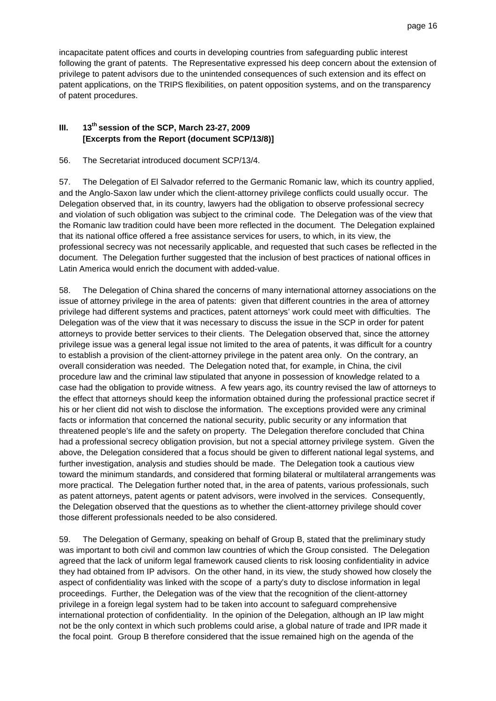incapacitate patent offices and courts in developing countries from safeguarding public interest following the grant of patents. The Representative expressed his deep concern about the extension of privilege to patent advisors due to the unintended consequences of such extension and its effect on patent applications, on the TRIPS flexibilities, on patent opposition systems, and on the transparency of patent procedures.

## **III. 13th session of the SCP, March 23-27, 2009 [Excerpts from the Report (document SCP/13/8)]**

56. The Secretariat introduced document SCP/13/4.

57. The Delegation of El Salvador referred to the Germanic Romanic law, which its country applied, and the Anglo-Saxon law under which the client-attorney privilege conflicts could usually occur. The Delegation observed that, in its country, lawyers had the obligation to observe professional secrecy and violation of such obligation was subject to the criminal code. The Delegation was of the view that the Romanic law tradition could have been more reflected in the document. The Delegation explained that its national office offered a free assistance services for users, to which, in its view, the professional secrecy was not necessarily applicable, and requested that such cases be reflected in the document. The Delegation further suggested that the inclusion of best practices of national offices in Latin America would enrich the document with added-value.

58. The Delegation of China shared the concerns of many international attorney associations on the issue of attorney privilege in the area of patents: given that different countries in the area of attorney privilege had different systems and practices, patent attorneys' work could meet with difficulties. The Delegation was of the view that it was necessary to discuss the issue in the SCP in order for patent attorneys to provide better services to their clients. The Delegation observed that, since the attorney privilege issue was a general legal issue not limited to the area of patents, it was difficult for a country to establish a provision of the client-attorney privilege in the patent area only. On the contrary, an overall consideration was needed. The Delegation noted that, for example, in China, the civil procedure law and the criminal law stipulated that anyone in possession of knowledge related to a case had the obligation to provide witness. A few years ago, its country revised the law of attorneys to the effect that attorneys should keep the information obtained during the professional practice secret if his or her client did not wish to disclose the information. The exceptions provided were any criminal facts or information that concerned the national security, public security or any information that threatened people's life and the safety on property. The Delegation therefore concluded that China had a professional secrecy obligation provision, but not a special attorney privilege system. Given the above, the Delegation considered that a focus should be given to different national legal systems, and further investigation, analysis and studies should be made. The Delegation took a cautious view toward the minimum standards, and considered that forming bilateral or multilateral arrangements was more practical. The Delegation further noted that, in the area of patents, various professionals, such as patent attorneys, patent agents or patent advisors, were involved in the services. Consequently, the Delegation observed that the questions as to whether the client-attorney privilege should cover those different professionals needed to be also considered.

59. The Delegation of Germany, speaking on behalf of Group B, stated that the preliminary study was important to both civil and common law countries of which the Group consisted. The Delegation agreed that the lack of uniform legal framework caused clients to risk loosing confidentiality in advice they had obtained from IP advisors. On the other hand, in its view, the study showed how closely the aspect of confidentiality was linked with the scope of a party's duty to disclose information in legal proceedings. Further, the Delegation was of the view that the recognition of the client-attorney privilege in a foreign legal system had to be taken into account to safeguard comprehensive international protection of confidentiality. In the opinion of the Delegation, although an IP law might not be the only context in which such problems could arise, a global nature of trade and IPR made it the focal point. Group B therefore considered that the issue remained high on the agenda of the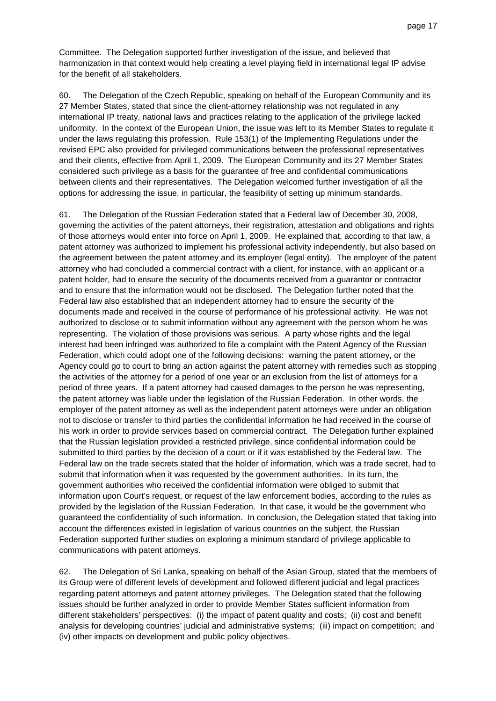Committee. The Delegation supported further investigation of the issue, and believed that harmonization in that context would help creating a level playing field in international legal IP advise for the benefit of all stakeholders.

60. The Delegation of the Czech Republic, speaking on behalf of the European Community and its 27 Member States, stated that since the client-attorney relationship was not regulated in any international IP treaty, national laws and practices relating to the application of the privilege lacked uniformity. In the context of the European Union, the issue was left to its Member States to regulate it under the laws regulating this profession. Rule 153(1) of the Implementing Regulations under the revised EPC also provided for privileged communications between the professional representatives and their clients, effective from April 1, 2009. The European Community and its 27 Member States considered such privilege as a basis for the guarantee of free and confidential communications between clients and their representatives. The Delegation welcomed further investigation of all the options for addressing the issue, in particular, the feasibility of setting up minimum standards.

61. The Delegation of the Russian Federation stated that a Federal law of December 30, 2008, governing the activities of the patent attorneys, their registration, attestation and obligations and rights of those attorneys would enter into force on April 1, 2009. He explained that, according to that law, a patent attorney was authorized to implement his professional activity independently, but also based on the agreement between the patent attorney and its employer (legal entity). The employer of the patent attorney who had concluded a commercial contract with a client, for instance, with an applicant or a patent holder, had to ensure the security of the documents received from a guarantor or contractor and to ensure that the information would not be disclosed. The Delegation further noted that the Federal law also established that an independent attorney had to ensure the security of the documents made and received in the course of performance of his professional activity. He was not authorized to disclose or to submit information without any agreement with the person whom he was representing. The violation of those provisions was serious. A party whose rights and the legal interest had been infringed was authorized to file a complaint with the Patent Agency of the Russian Federation, which could adopt one of the following decisions: warning the patent attorney, or the Agency could go to court to bring an action against the patent attorney with remedies such as stopping the activities of the attorney for a period of one year or an exclusion from the list of attorneys for a period of three years. If a patent attorney had caused damages to the person he was representing, the patent attorney was liable under the legislation of the Russian Federation. In other words, the employer of the patent attorney as well as the independent patent attorneys were under an obligation not to disclose or transfer to third parties the confidential information he had received in the course of his work in order to provide services based on commercial contract. The Delegation further explained that the Russian legislation provided a restricted privilege, since confidential information could be submitted to third parties by the decision of a court or if it was established by the Federal law. The Federal law on the trade secrets stated that the holder of information, which was a trade secret, had to submit that information when it was requested by the government authorities. In its turn, the government authorities who received the confidential information were obliged to submit that information upon Court's request, or request of the law enforcement bodies, according to the rules as provided by the legislation of the Russian Federation. In that case, it would be the government who guaranteed the confidentiality of such information. In conclusion, the Delegation stated that taking into account the differences existed in legislation of various countries on the subject, the Russian Federation supported further studies on exploring a minimum standard of privilege applicable to communications with patent attorneys.

62. The Delegation of Sri Lanka, speaking on behalf of the Asian Group, stated that the members of its Group were of different levels of development and followed different judicial and legal practices regarding patent attorneys and patent attorney privileges. The Delegation stated that the following issues should be further analyzed in order to provide Member States sufficient information from different stakeholders' perspectives: (i) the impact of patent quality and costs; (ii) cost and benefit analysis for developing countries' judicial and administrative systems; (iii) impact on competition; and (iv) other impacts on development and public policy objectives.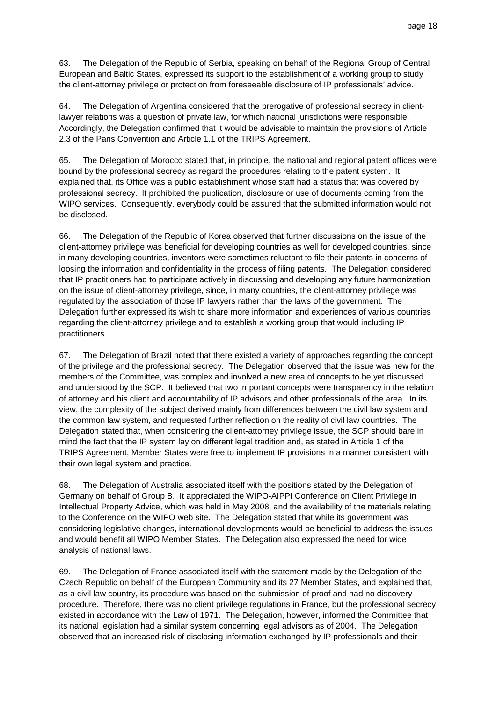63. The Delegation of the Republic of Serbia, speaking on behalf of the Regional Group of Central European and Baltic States, expressed its support to the establishment of a working group to study the client-attorney privilege or protection from foreseeable disclosure of IP professionals' advice.

64. The Delegation of Argentina considered that the prerogative of professional secrecy in clientlawyer relations was a question of private law, for which national jurisdictions were responsible. Accordingly, the Delegation confirmed that it would be advisable to maintain the provisions of Article 2.3 of the Paris Convention and Article 1.1 of the TRIPS Agreement.

65. The Delegation of Morocco stated that, in principle, the national and regional patent offices were bound by the professional secrecy as regard the procedures relating to the patent system. It explained that, its Office was a public establishment whose staff had a status that was covered by professional secrecy. It prohibited the publication, disclosure or use of documents coming from the WIPO services. Consequently, everybody could be assured that the submitted information would not be disclosed.

66. The Delegation of the Republic of Korea observed that further discussions on the issue of the client-attorney privilege was beneficial for developing countries as well for developed countries, since in many developing countries, inventors were sometimes reluctant to file their patents in concerns of loosing the information and confidentiality in the process of filing patents. The Delegation considered that IP practitioners had to participate actively in discussing and developing any future harmonization on the issue of client-attorney privilege, since, in many countries, the client-attorney privilege was regulated by the association of those IP lawyers rather than the laws of the government. The Delegation further expressed its wish to share more information and experiences of various countries regarding the client-attorney privilege and to establish a working group that would including IP practitioners.

67. The Delegation of Brazil noted that there existed a variety of approaches regarding the concept of the privilege and the professional secrecy. The Delegation observed that the issue was new for the members of the Committee, was complex and involved a new area of concepts to be yet discussed and understood by the SCP. It believed that two important concepts were transparency in the relation of attorney and his client and accountability of IP advisors and other professionals of the area. In its view, the complexity of the subject derived mainly from differences between the civil law system and the common law system, and requested further reflection on the reality of civil law countries. The Delegation stated that, when considering the client-attorney privilege issue, the SCP should bare in mind the fact that the IP system lay on different legal tradition and, as stated in Article 1 of the TRIPS Agreement, Member States were free to implement IP provisions in a manner consistent with their own legal system and practice.

68. The Delegation of Australia associated itself with the positions stated by the Delegation of Germany on behalf of Group B. It appreciated the WIPO-AIPPI Conference on Client Privilege in Intellectual Property Advice, which was held in May 2008, and the availability of the materials relating to the Conference on the WIPO web site. The Delegation stated that while its government was considering legislative changes, international developments would be beneficial to address the issues and would benefit all WIPO Member States. The Delegation also expressed the need for wide analysis of national laws.

69. The Delegation of France associated itself with the statement made by the Delegation of the Czech Republic on behalf of the European Community and its 27 Member States, and explained that, as a civil law country, its procedure was based on the submission of proof and had no discovery procedure. Therefore, there was no client privilege regulations in France, but the professional secrecy existed in accordance with the Law of 1971. The Delegation, however, informed the Committee that its national legislation had a similar system concerning legal advisors as of 2004. The Delegation observed that an increased risk of disclosing information exchanged by IP professionals and their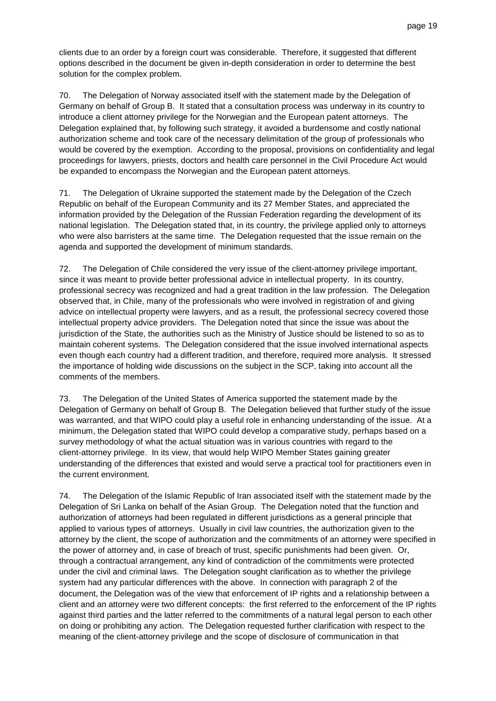clients due to an order by a foreign court was considerable. Therefore, it suggested that different options described in the document be given in-depth consideration in order to determine the best solution for the complex problem.

70. The Delegation of Norway associated itself with the statement made by the Delegation of Germany on behalf of Group B. It stated that a consultation process was underway in its country to introduce a client attorney privilege for the Norwegian and the European patent attorneys. The Delegation explained that, by following such strategy, it avoided a burdensome and costly national authorization scheme and took care of the necessary delimitation of the group of professionals who would be covered by the exemption. According to the proposal, provisions on confidentiality and legal proceedings for lawyers, priests, doctors and health care personnel in the Civil Procedure Act would be expanded to encompass the Norwegian and the European patent attorneys.

71. The Delegation of Ukraine supported the statement made by the Delegation of the Czech Republic on behalf of the European Community and its 27 Member States, and appreciated the information provided by the Delegation of the Russian Federation regarding the development of its national legislation. The Delegation stated that, in its country, the privilege applied only to attorneys who were also barristers at the same time. The Delegation requested that the issue remain on the agenda and supported the development of minimum standards.

72. The Delegation of Chile considered the very issue of the client-attorney privilege important, since it was meant to provide better professional advice in intellectual property. In its country, professional secrecy was recognized and had a great tradition in the law profession. The Delegation observed that, in Chile, many of the professionals who were involved in registration of and giving advice on intellectual property were lawyers, and as a result, the professional secrecy covered those intellectual property advice providers. The Delegation noted that since the issue was about the jurisdiction of the State, the authorities such as the Ministry of Justice should be listened to so as to maintain coherent systems. The Delegation considered that the issue involved international aspects even though each country had a different tradition, and therefore, required more analysis. It stressed the importance of holding wide discussions on the subject in the SCP, taking into account all the comments of the members.

73. The Delegation of the United States of America supported the statement made by the Delegation of Germany on behalf of Group B. The Delegation believed that further study of the issue was warranted, and that WIPO could play a useful role in enhancing understanding of the issue. At a minimum, the Delegation stated that WIPO could develop a comparative study, perhaps based on a survey methodology of what the actual situation was in various countries with regard to the client-attorney privilege. In its view, that would help WIPO Member States gaining greater understanding of the differences that existed and would serve a practical tool for practitioners even in the current environment.

74. The Delegation of the Islamic Republic of Iran associated itself with the statement made by the Delegation of Sri Lanka on behalf of the Asian Group. The Delegation noted that the function and authorization of attorneys had been regulated in different jurisdictions as a general principle that applied to various types of attorneys. Usually in civil law countries, the authorization given to the attorney by the client, the scope of authorization and the commitments of an attorney were specified in the power of attorney and, in case of breach of trust, specific punishments had been given. Or, through a contractual arrangement, any kind of contradiction of the commitments were protected under the civil and criminal laws. The Delegation sought clarification as to whether the privilege system had any particular differences with the above. In connection with paragraph 2 of the document, the Delegation was of the view that enforcement of IP rights and a relationship between a client and an attorney were two different concepts: the first referred to the enforcement of the IP rights against third parties and the latter referred to the commitments of a natural legal person to each other on doing or prohibiting any action. The Delegation requested further clarification with respect to the meaning of the client-attorney privilege and the scope of disclosure of communication in that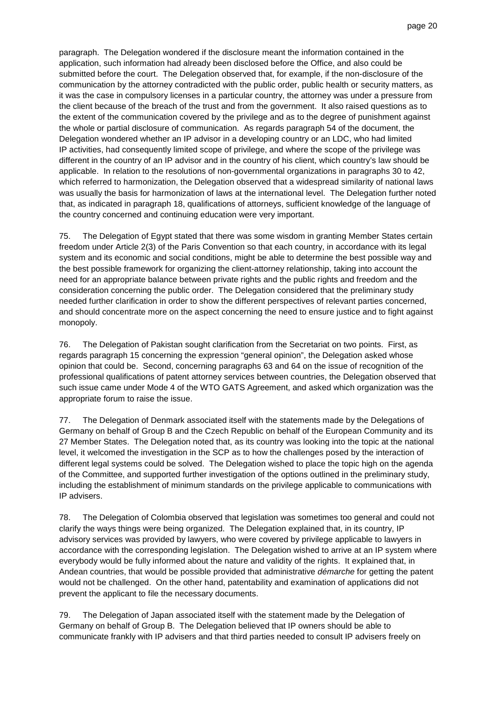paragraph. The Delegation wondered if the disclosure meant the information contained in the application, such information had already been disclosed before the Office, and also could be submitted before the court. The Delegation observed that, for example, if the non-disclosure of the communication by the attorney contradicted with the public order, public health or security matters, as it was the case in compulsory licenses in a particular country, the attorney was under a pressure from the client because of the breach of the trust and from the government. It also raised questions as to the extent of the communication covered by the privilege and as to the degree of punishment against the whole or partial disclosure of communication. As regards paragraph 54 of the document, the Delegation wondered whether an IP advisor in a developing country or an LDC, who had limited IP activities, had consequently limited scope of privilege, and where the scope of the privilege was different in the country of an IP advisor and in the country of his client, which country's law should be applicable. In relation to the resolutions of non-governmental organizations in paragraphs 30 to 42, which referred to harmonization, the Delegation observed that a widespread similarity of national laws was usually the basis for harmonization of laws at the international level. The Delegation further noted that, as indicated in paragraph 18, qualifications of attorneys, sufficient knowledge of the language of the country concerned and continuing education were very important.

75. The Delegation of Egypt stated that there was some wisdom in granting Member States certain freedom under Article 2(3) of the Paris Convention so that each country, in accordance with its legal system and its economic and social conditions, might be able to determine the best possible way and the best possible framework for organizing the client-attorney relationship, taking into account the need for an appropriate balance between private rights and the public rights and freedom and the consideration concerning the public order. The Delegation considered that the preliminary study needed further clarification in order to show the different perspectives of relevant parties concerned, and should concentrate more on the aspect concerning the need to ensure justice and to fight against monopoly.

76. The Delegation of Pakistan sought clarification from the Secretariat on two points. First, as regards paragraph 15 concerning the expression "general opinion", the Delegation asked whose opinion that could be. Second, concerning paragraphs 63 and 64 on the issue of recognition of the professional qualifications of patent attorney services between countries, the Delegation observed that such issue came under Mode 4 of the WTO GATS Agreement, and asked which organization was the appropriate forum to raise the issue.

77. The Delegation of Denmark associated itself with the statements made by the Delegations of Germany on behalf of Group B and the Czech Republic on behalf of the European Community and its 27 Member States. The Delegation noted that, as its country was looking into the topic at the national level, it welcomed the investigation in the SCP as to how the challenges posed by the interaction of different legal systems could be solved. The Delegation wished to place the topic high on the agenda of the Committee, and supported further investigation of the options outlined in the preliminary study, including the establishment of minimum standards on the privilege applicable to communications with IP advisers.

78. The Delegation of Colombia observed that legislation was sometimes too general and could not clarify the ways things were being organized. The Delegation explained that, in its country, IP advisory services was provided by lawyers, who were covered by privilege applicable to lawyers in accordance with the corresponding legislation. The Delegation wished to arrive at an IP system where everybody would be fully informed about the nature and validity of the rights. It explained that, in Andean countries, that would be possible provided that administrative démarche for getting the patent would not be challenged. On the other hand, patentability and examination of applications did not prevent the applicant to file the necessary documents.

79. The Delegation of Japan associated itself with the statement made by the Delegation of Germany on behalf of Group B. The Delegation believed that IP owners should be able to communicate frankly with IP advisers and that third parties needed to consult IP advisers freely on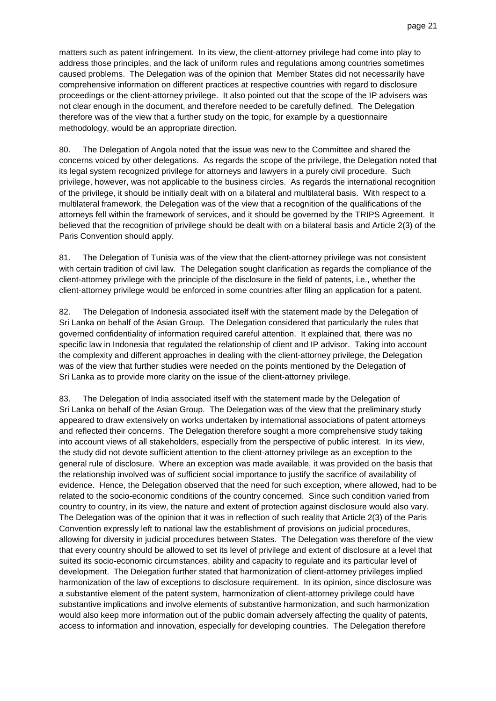matters such as patent infringement. In its view, the client-attorney privilege had come into play to address those principles, and the lack of uniform rules and regulations among countries sometimes caused problems. The Delegation was of the opinion that Member States did not necessarily have comprehensive information on different practices at respective countries with regard to disclosure proceedings or the client-attorney privilege. It also pointed out that the scope of the IP advisers was not clear enough in the document, and therefore needed to be carefully defined. The Delegation therefore was of the view that a further study on the topic, for example by a questionnaire methodology, would be an appropriate direction.

80. The Delegation of Angola noted that the issue was new to the Committee and shared the concerns voiced by other delegations. As regards the scope of the privilege, the Delegation noted that its legal system recognized privilege for attorneys and lawyers in a purely civil procedure. Such privilege, however, was not applicable to the business circles. As regards the international recognition of the privilege, it should be initially dealt with on a bilateral and multilateral basis. With respect to a multilateral framework, the Delegation was of the view that a recognition of the qualifications of the attorneys fell within the framework of services, and it should be governed by the TRIPS Agreement. It believed that the recognition of privilege should be dealt with on a bilateral basis and Article 2(3) of the Paris Convention should apply.

81. The Delegation of Tunisia was of the view that the client-attorney privilege was not consistent with certain tradition of civil law. The Delegation sought clarification as regards the compliance of the client-attorney privilege with the principle of the disclosure in the field of patents, i.e., whether the client-attorney privilege would be enforced in some countries after filing an application for a patent.

82. The Delegation of Indonesia associated itself with the statement made by the Delegation of Sri Lanka on behalf of the Asian Group. The Delegation considered that particularly the rules that governed confidentiality of information required careful attention. It explained that, there was no specific law in Indonesia that regulated the relationship of client and IP advisor. Taking into account the complexity and different approaches in dealing with the client-attorney privilege, the Delegation was of the view that further studies were needed on the points mentioned by the Delegation of Sri Lanka as to provide more clarity on the issue of the client-attorney privilege.

83. The Delegation of India associated itself with the statement made by the Delegation of Sri Lanka on behalf of the Asian Group. The Delegation was of the view that the preliminary study appeared to draw extensively on works undertaken by international associations of patent attorneys and reflected their concerns. The Delegation therefore sought a more comprehensive study taking into account views of all stakeholders, especially from the perspective of public interest. In its view, the study did not devote sufficient attention to the client-attorney privilege as an exception to the general rule of disclosure. Where an exception was made available, it was provided on the basis that the relationship involved was of sufficient social importance to justify the sacrifice of availability of evidence. Hence, the Delegation observed that the need for such exception, where allowed, had to be related to the socio-economic conditions of the country concerned. Since such condition varied from country to country, in its view, the nature and extent of protection against disclosure would also vary. The Delegation was of the opinion that it was in reflection of such reality that Article 2(3) of the Paris Convention expressly left to national law the establishment of provisions on judicial procedures, allowing for diversity in judicial procedures between States. The Delegation was therefore of the view that every country should be allowed to set its level of privilege and extent of disclosure at a level that suited its socio-economic circumstances, ability and capacity to regulate and its particular level of development. The Delegation further stated that harmonization of client-attorney privileges implied harmonization of the law of exceptions to disclosure requirement. In its opinion, since disclosure was a substantive element of the patent system, harmonization of client-attorney privilege could have substantive implications and involve elements of substantive harmonization, and such harmonization would also keep more information out of the public domain adversely affecting the quality of patents, access to information and innovation, especially for developing countries. The Delegation therefore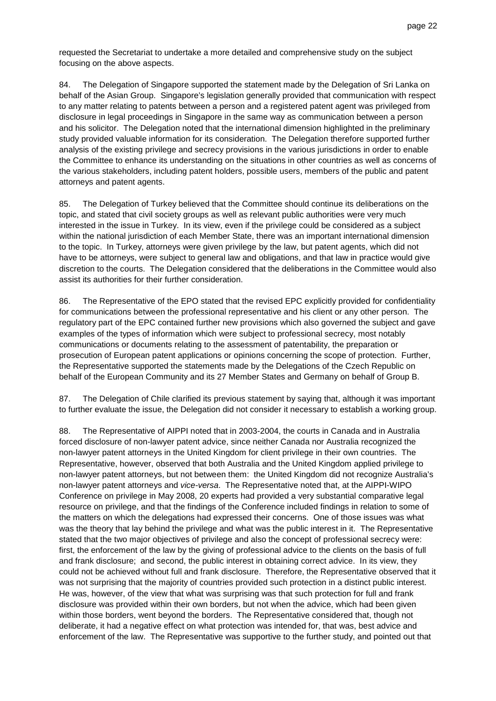requested the Secretariat to undertake a more detailed and comprehensive study on the subject focusing on the above aspects.

84. The Delegation of Singapore supported the statement made by the Delegation of Sri Lanka on behalf of the Asian Group. Singapore's legislation generally provided that communication with respect to any matter relating to patents between a person and a registered patent agent was privileged from disclosure in legal proceedings in Singapore in the same way as communication between a person and his solicitor. The Delegation noted that the international dimension highlighted in the preliminary study provided valuable information for its consideration. The Delegation therefore supported further analysis of the existing privilege and secrecy provisions in the various jurisdictions in order to enable the Committee to enhance its understanding on the situations in other countries as well as concerns of the various stakeholders, including patent holders, possible users, members of the public and patent attorneys and patent agents.

85. The Delegation of Turkey believed that the Committee should continue its deliberations on the topic, and stated that civil society groups as well as relevant public authorities were very much interested in the issue in Turkey. In its view, even if the privilege could be considered as a subject within the national jurisdiction of each Member State, there was an important international dimension to the topic. In Turkey, attorneys were given privilege by the law, but patent agents, which did not have to be attorneys, were subject to general law and obligations, and that law in practice would give discretion to the courts. The Delegation considered that the deliberations in the Committee would also assist its authorities for their further consideration.

86. The Representative of the EPO stated that the revised EPC explicitly provided for confidentiality for communications between the professional representative and his client or any other person. The regulatory part of the EPC contained further new provisions which also governed the subject and gave examples of the types of information which were subject to professional secrecy, most notably communications or documents relating to the assessment of patentability, the preparation or prosecution of European patent applications or opinions concerning the scope of protection. Further, the Representative supported the statements made by the Delegations of the Czech Republic on behalf of the European Community and its 27 Member States and Germany on behalf of Group B.

87. The Delegation of Chile clarified its previous statement by saying that, although it was important to further evaluate the issue, the Delegation did not consider it necessary to establish a working group.

88. The Representative of AIPPI noted that in 2003-2004, the courts in Canada and in Australia forced disclosure of non-lawyer patent advice, since neither Canada nor Australia recognized the non-lawyer patent attorneys in the United Kingdom for client privilege in their own countries. The Representative, however, observed that both Australia and the United Kingdom applied privilege to non-lawyer patent attorneys, but not between them: the United Kingdom did not recognize Australia's non-lawyer patent attorneys and vice-versa. The Representative noted that, at the AIPPI-WIPO Conference on privilege in May 2008, 20 experts had provided a very substantial comparative legal resource on privilege, and that the findings of the Conference included findings in relation to some of the matters on which the delegations had expressed their concerns. One of those issues was what was the theory that lay behind the privilege and what was the public interest in it. The Representative stated that the two major objectives of privilege and also the concept of professional secrecy were: first, the enforcement of the law by the giving of professional advice to the clients on the basis of full and frank disclosure; and second, the public interest in obtaining correct advice. In its view, they could not be achieved without full and frank disclosure. Therefore, the Representative observed that it was not surprising that the majority of countries provided such protection in a distinct public interest. He was, however, of the view that what was surprising was that such protection for full and frank disclosure was provided within their own borders, but not when the advice, which had been given within those borders, went beyond the borders. The Representative considered that, though not deliberate, it had a negative effect on what protection was intended for, that was, best advice and enforcement of the law. The Representative was supportive to the further study, and pointed out that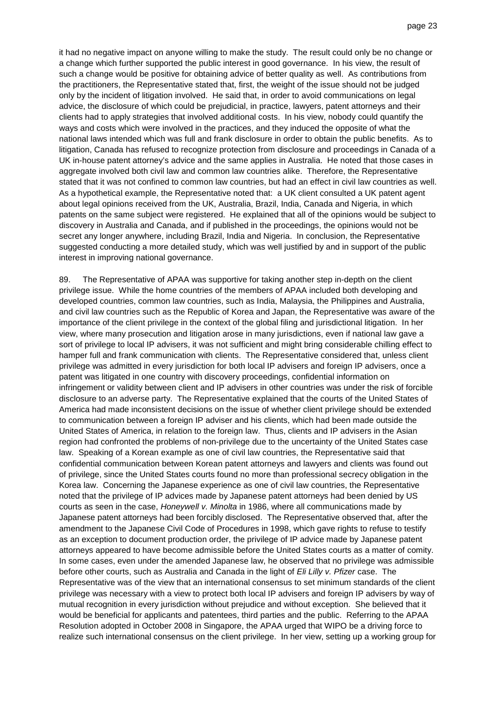it had no negative impact on anyone willing to make the study. The result could only be no change or a change which further supported the public interest in good governance. In his view, the result of such a change would be positive for obtaining advice of better quality as well. As contributions from the practitioners, the Representative stated that, first, the weight of the issue should not be judged only by the incident of litigation involved. He said that, in order to avoid communications on legal advice, the disclosure of which could be prejudicial, in practice, lawyers, patent attorneys and their clients had to apply strategies that involved additional costs. In his view, nobody could quantify the ways and costs which were involved in the practices, and they induced the opposite of what the national laws intended which was full and frank disclosure in order to obtain the public benefits. As to litigation, Canada has refused to recognize protection from disclosure and proceedings in Canada of a UK in-house patent attorney's advice and the same applies in Australia. He noted that those cases in aggregate involved both civil law and common law countries alike. Therefore, the Representative stated that it was not confined to common law countries, but had an effect in civil law countries as well. As a hypothetical example, the Representative noted that: a UK client consulted a UK patent agent about legal opinions received from the UK, Australia, Brazil, India, Canada and Nigeria, in which patents on the same subject were registered. He explained that all of the opinions would be subject to discovery in Australia and Canada, and if published in the proceedings, the opinions would not be secret any longer anywhere, including Brazil, India and Nigeria. In conclusion, the Representative suggested conducting a more detailed study, which was well justified by and in support of the public interest in improving national governance.

89. The Representative of APAA was supportive for taking another step in-depth on the client privilege issue. While the home countries of the members of APAA included both developing and developed countries, common law countries, such as India, Malaysia, the Philippines and Australia, and civil law countries such as the Republic of Korea and Japan, the Representative was aware of the importance of the client privilege in the context of the global filing and jurisdictional litigation. In her view, where many prosecution and litigation arose in many jurisdictions, even if national law gave a sort of privilege to local IP advisers, it was not sufficient and might bring considerable chilling effect to hamper full and frank communication with clients. The Representative considered that, unless client privilege was admitted in every jurisdiction for both local IP advisers and foreign IP advisers, once a patent was litigated in one country with discovery proceedings, confidential information on infringement or validity between client and IP advisers in other countries was under the risk of forcible disclosure to an adverse party. The Representative explained that the courts of the United States of America had made inconsistent decisions on the issue of whether client privilege should be extended to communication between a foreign IP adviser and his clients, which had been made outside the United States of America, in relation to the foreign law. Thus, clients and IP advisers in the Asian region had confronted the problems of non-privilege due to the uncertainty of the United States case law. Speaking of a Korean example as one of civil law countries, the Representative said that confidential communication between Korean patent attorneys and lawyers and clients was found out of privilege, since the United States courts found no more than professional secrecy obligation in the Korea law. Concerning the Japanese experience as one of civil law countries, the Representative noted that the privilege of IP advices made by Japanese patent attorneys had been denied by US courts as seen in the case, *Honeywell v. Minolta* in 1986, where all communications made by Japanese patent attorneys had been forcibly disclosed. The Representative observed that, after the amendment to the Japanese Civil Code of Procedures in 1998, which gave rights to refuse to testify as an exception to document production order, the privilege of IP advice made by Japanese patent attorneys appeared to have become admissible before the United States courts as a matter of comity. In some cases, even under the amended Japanese law, he observed that no privilege was admissible before other courts, such as Australia and Canada in the light of Eli Lilly v. Pfizer case. The Representative was of the view that an international consensus to set minimum standards of the client privilege was necessary with a view to protect both local IP advisers and foreign IP advisers by way of mutual recognition in every jurisdiction without prejudice and without exception. She believed that it would be beneficial for applicants and patentees, third parties and the public. Referring to the APAA Resolution adopted in October 2008 in Singapore, the APAA urged that WIPO be a driving force to realize such international consensus on the client privilege. In her view, setting up a working group for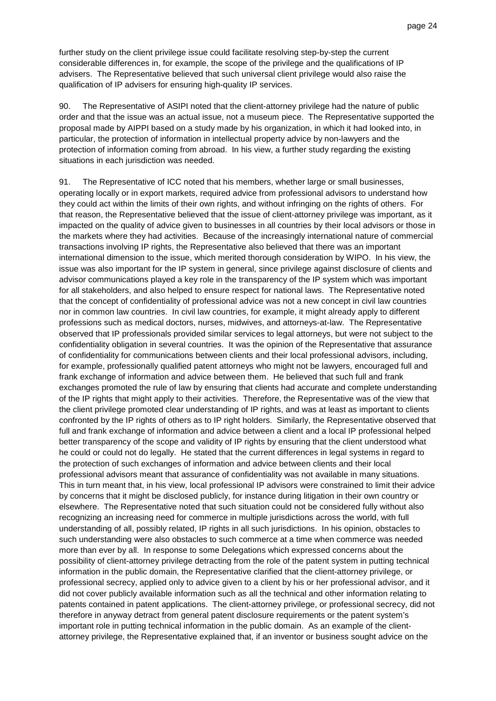further study on the client privilege issue could facilitate resolving step-by-step the current considerable differences in, for example, the scope of the privilege and the qualifications of IP advisers. The Representative believed that such universal client privilege would also raise the qualification of IP advisers for ensuring high-quality IP services.

90. The Representative of ASIPI noted that the client-attorney privilege had the nature of public order and that the issue was an actual issue, not a museum piece. The Representative supported the proposal made by AIPPI based on a study made by his organization, in which it had looked into, in particular, the protection of information in intellectual property advice by non-lawyers and the protection of information coming from abroad. In his view, a further study regarding the existing situations in each jurisdiction was needed.

91. The Representative of ICC noted that his members, whether large or small businesses, operating locally or in export markets, required advice from professional advisors to understand how they could act within the limits of their own rights, and without infringing on the rights of others. For that reason, the Representative believed that the issue of client-attorney privilege was important, as it impacted on the quality of advice given to businesses in all countries by their local advisors or those in the markets where they had activities. Because of the increasingly international nature of commercial transactions involving IP rights, the Representative also believed that there was an important international dimension to the issue, which merited thorough consideration by WIPO. In his view, the issue was also important for the IP system in general, since privilege against disclosure of clients and advisor communications played a key role in the transparency of the IP system which was important for all stakeholders, and also helped to ensure respect for national laws. The Representative noted that the concept of confidentiality of professional advice was not a new concept in civil law countries nor in common law countries. In civil law countries, for example, it might already apply to different professions such as medical doctors, nurses, midwives, and attorneys-at-law. The Representative observed that IP professionals provided similar services to legal attorneys, but were not subject to the confidentiality obligation in several countries. It was the opinion of the Representative that assurance of confidentiality for communications between clients and their local professional advisors, including, for example, professionally qualified patent attorneys who might not be lawyers, encouraged full and frank exchange of information and advice between them. He believed that such full and frank exchanges promoted the rule of law by ensuring that clients had accurate and complete understanding of the IP rights that might apply to their activities. Therefore, the Representative was of the view that the client privilege promoted clear understanding of IP rights, and was at least as important to clients confronted by the IP rights of others as to IP right holders. Similarly, the Representative observed that full and frank exchange of information and advice between a client and a local IP professional helped better transparency of the scope and validity of IP rights by ensuring that the client understood what he could or could not do legally. He stated that the current differences in legal systems in regard to the protection of such exchanges of information and advice between clients and their local professional advisors meant that assurance of confidentiality was not available in many situations. This in turn meant that, in his view, local professional IP advisors were constrained to limit their advice by concerns that it might be disclosed publicly, for instance during litigation in their own country or elsewhere. The Representative noted that such situation could not be considered fully without also recognizing an increasing need for commerce in multiple jurisdictions across the world, with full understanding of all, possibly related, IP rights in all such jurisdictions. In his opinion, obstacles to such understanding were also obstacles to such commerce at a time when commerce was needed more than ever by all. In response to some Delegations which expressed concerns about the possibility of client-attorney privilege detracting from the role of the patent system in putting technical information in the public domain, the Representative clarified that the client-attorney privilege, or professional secrecy, applied only to advice given to a client by his or her professional advisor, and it did not cover publicly available information such as all the technical and other information relating to patents contained in patent applications. The client-attorney privilege, or professional secrecy, did not therefore in anyway detract from general patent disclosure requirements or the patent system's important role in putting technical information in the public domain. As an example of the clientattorney privilege, the Representative explained that, if an inventor or business sought advice on the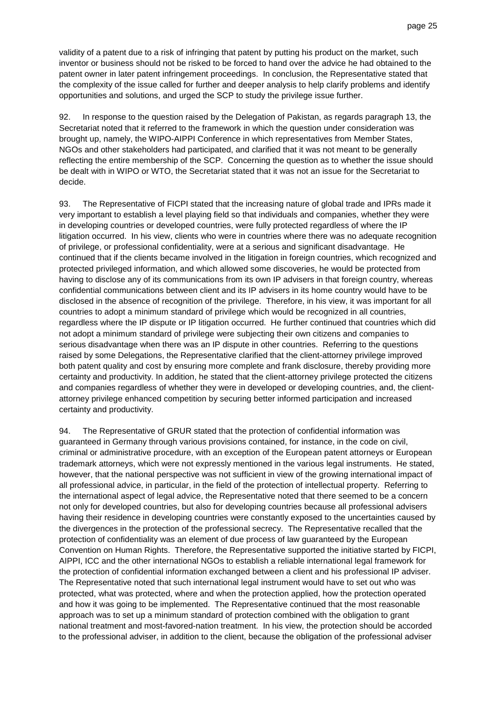validity of a patent due to a risk of infringing that patent by putting his product on the market, such inventor or business should not be risked to be forced to hand over the advice he had obtained to the patent owner in later patent infringement proceedings. In conclusion, the Representative stated that the complexity of the issue called for further and deeper analysis to help clarify problems and identify opportunities and solutions, and urged the SCP to study the privilege issue further.

92. In response to the question raised by the Delegation of Pakistan, as regards paragraph 13, the Secretariat noted that it referred to the framework in which the question under consideration was brought up, namely, the WIPO-AIPPI Conference in which representatives from Member States, NGOs and other stakeholders had participated, and clarified that it was not meant to be generally reflecting the entire membership of the SCP. Concerning the question as to whether the issue should be dealt with in WIPO or WTO, the Secretariat stated that it was not an issue for the Secretariat to decide.

93. The Representative of FICPI stated that the increasing nature of global trade and IPRs made it very important to establish a level playing field so that individuals and companies, whether they were in developing countries or developed countries, were fully protected regardless of where the IP litigation occurred. In his view, clients who were in countries where there was no adequate recognition of privilege, or professional confidentiality, were at a serious and significant disadvantage. He continued that if the clients became involved in the litigation in foreign countries, which recognized and protected privileged information, and which allowed some discoveries, he would be protected from having to disclose any of its communications from its own IP advisers in that foreign country, whereas confidential communications between client and its IP advisers in its home country would have to be disclosed in the absence of recognition of the privilege. Therefore, in his view, it was important for all countries to adopt a minimum standard of privilege which would be recognized in all countries, regardless where the IP dispute or IP litigation occurred. He further continued that countries which did not adopt a minimum standard of privilege were subjecting their own citizens and companies to serious disadvantage when there was an IP dispute in other countries. Referring to the questions raised by some Delegations, the Representative clarified that the client-attorney privilege improved both patent quality and cost by ensuring more complete and frank disclosure, thereby providing more certainty and productivity. In addition, he stated that the client-attorney privilege protected the citizens and companies regardless of whether they were in developed or developing countries, and, the clientattorney privilege enhanced competition by securing better informed participation and increased certainty and productivity.

94. The Representative of GRUR stated that the protection of confidential information was guaranteed in Germany through various provisions contained, for instance, in the code on civil, criminal or administrative procedure, with an exception of the European patent attorneys or European trademark attorneys, which were not expressly mentioned in the various legal instruments. He stated, however, that the national perspective was not sufficient in view of the growing international impact of all professional advice, in particular, in the field of the protection of intellectual property. Referring to the international aspect of legal advice, the Representative noted that there seemed to be a concern not only for developed countries, but also for developing countries because all professional advisers having their residence in developing countries were constantly exposed to the uncertainties caused by the divergences in the protection of the professional secrecy. The Representative recalled that the protection of confidentiality was an element of due process of law guaranteed by the European Convention on Human Rights. Therefore, the Representative supported the initiative started by FICPI, AIPPI, ICC and the other international NGOs to establish a reliable international legal framework for the protection of confidential information exchanged between a client and his professional IP adviser. The Representative noted that such international legal instrument would have to set out who was protected, what was protected, where and when the protection applied, how the protection operated and how it was going to be implemented. The Representative continued that the most reasonable approach was to set up a minimum standard of protection combined with the obligation to grant national treatment and most-favored-nation treatment. In his view, the protection should be accorded to the professional adviser, in addition to the client, because the obligation of the professional adviser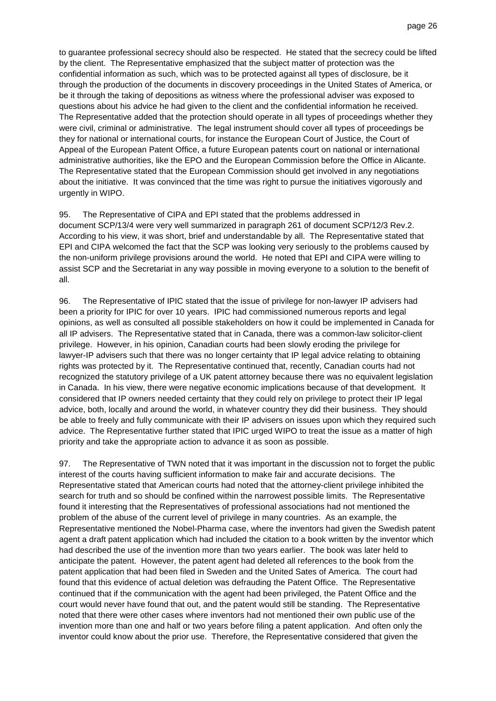to guarantee professional secrecy should also be respected. He stated that the secrecy could be lifted by the client. The Representative emphasized that the subject matter of protection was the confidential information as such, which was to be protected against all types of disclosure, be it through the production of the documents in discovery proceedings in the United States of America, or be it through the taking of depositions as witness where the professional adviser was exposed to questions about his advice he had given to the client and the confidential information he received. The Representative added that the protection should operate in all types of proceedings whether they were civil, criminal or administrative. The legal instrument should cover all types of proceedings be they for national or international courts, for instance the European Court of Justice, the Court of Appeal of the European Patent Office, a future European patents court on national or international administrative authorities, like the EPO and the European Commission before the Office in Alicante. The Representative stated that the European Commission should get involved in any negotiations about the initiative. It was convinced that the time was right to pursue the initiatives vigorously and urgently in WIPO.

#### 95. The Representative of CIPA and EPI stated that the problems addressed in

document SCP/13/4 were very well summarized in paragraph 261 of document SCP/12/3 Rev.2. According to his view, it was short, brief and understandable by all. The Representative stated that EPI and CIPA welcomed the fact that the SCP was looking very seriously to the problems caused by the non-uniform privilege provisions around the world. He noted that EPI and CIPA were willing to assist SCP and the Secretariat in any way possible in moving everyone to a solution to the benefit of all.

96. The Representative of IPIC stated that the issue of privilege for non-lawyer IP advisers had been a priority for IPIC for over 10 years. IPIC had commissioned numerous reports and legal opinions, as well as consulted all possible stakeholders on how it could be implemented in Canada for all IP advisers. The Representative stated that in Canada, there was a common-law solicitor-client privilege. However, in his opinion, Canadian courts had been slowly eroding the privilege for lawyer-IP advisers such that there was no longer certainty that IP legal advice relating to obtaining rights was protected by it. The Representative continued that, recently, Canadian courts had not recognized the statutory privilege of a UK patent attorney because there was no equivalent legislation in Canada. In his view, there were negative economic implications because of that development. It considered that IP owners needed certainty that they could rely on privilege to protect their IP legal advice, both, locally and around the world, in whatever country they did their business. They should be able to freely and fully communicate with their IP advisers on issues upon which they required such advice. The Representative further stated that IPIC urged WIPO to treat the issue as a matter of high priority and take the appropriate action to advance it as soon as possible.

97. The Representative of TWN noted that it was important in the discussion not to forget the public interest of the courts having sufficient information to make fair and accurate decisions. The Representative stated that American courts had noted that the attorney-client privilege inhibited the search for truth and so should be confined within the narrowest possible limits. The Representative found it interesting that the Representatives of professional associations had not mentioned the problem of the abuse of the current level of privilege in many countries. As an example, the Representative mentioned the Nobel-Pharma case, where the inventors had given the Swedish patent agent a draft patent application which had included the citation to a book written by the inventor which had described the use of the invention more than two years earlier. The book was later held to anticipate the patent. However, the patent agent had deleted all references to the book from the patent application that had been filed in Sweden and the United Sates of America. The court had found that this evidence of actual deletion was defrauding the Patent Office. The Representative continued that if the communication with the agent had been privileged, the Patent Office and the court would never have found that out, and the patent would still be standing. The Representative noted that there were other cases where inventors had not mentioned their own public use of the invention more than one and half or two years before filing a patent application. And often only the inventor could know about the prior use. Therefore, the Representative considered that given the